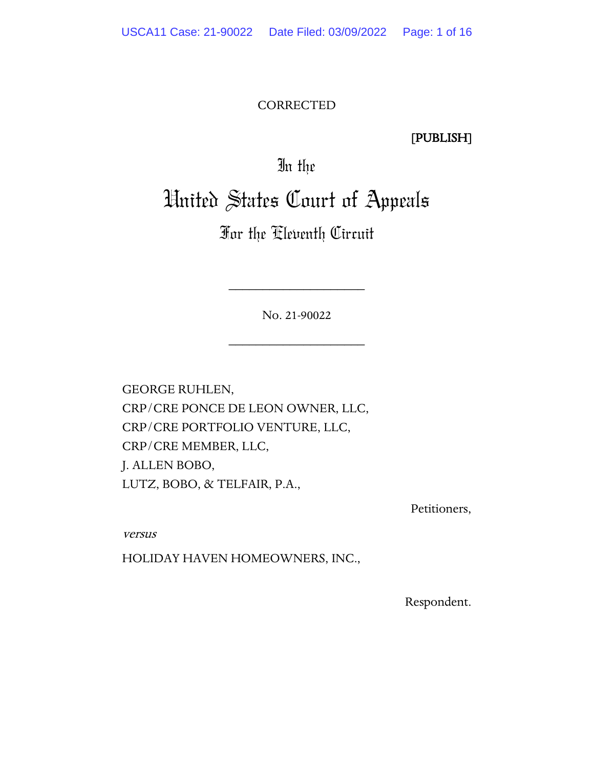#### CORRECTED

[PUBLISH]

In the

# United States Court of Appeals

For the Eleventh Circuit

No. 21-90022

\_\_\_\_\_\_\_\_\_\_\_\_\_\_\_\_\_\_\_\_

\_\_\_\_\_\_\_\_\_\_\_\_\_\_\_\_\_\_\_\_

GEORGE RUHLEN, CRP/CRE PONCE DE LEON OWNER, LLC, CRP/CRE PORTFOLIO VENTURE, LLC, CRP/CRE MEMBER, LLC, J. ALLEN BOBO, LUTZ, BOBO, & TELFAIR, P.A.,

Petitioners,

versus

HOLIDAY HAVEN HOMEOWNERS, INC.,

Respondent.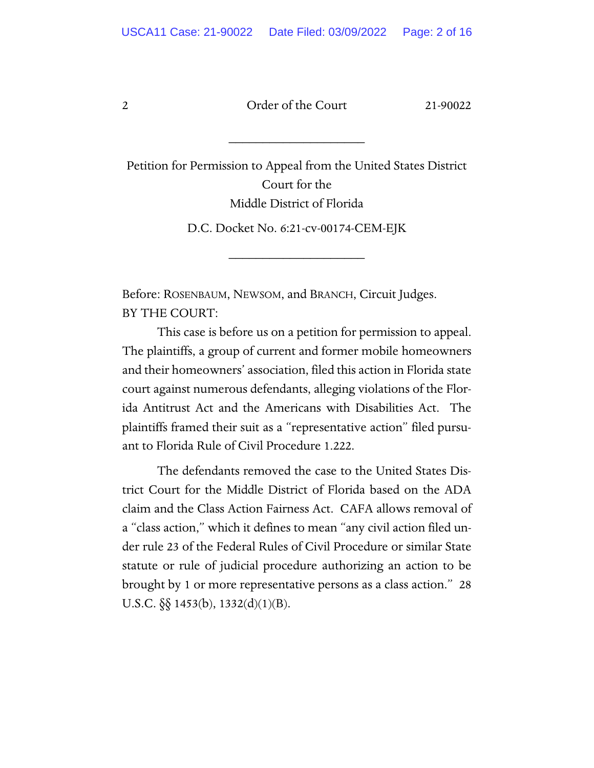2 Order of the Court 21-90022

\_\_\_\_\_\_\_\_\_\_\_\_\_\_\_\_\_\_\_\_

Petition for Permission to Appeal from the United States District Court for the Middle District of Florida

D.C. Docket No. 6:21-cv-00174-CEM-EJK

\_\_\_\_\_\_\_\_\_\_\_\_\_\_\_\_\_\_\_\_

Before: ROSENBAUM, NEWSOM, and BRANCH, Circuit Judges. BY THE COURT:

This case is before us on a petition for permission to appeal. The plaintiffs, a group of current and former mobile homeowners and their homeowners' association, filed this action in Florida state court against numerous defendants, alleging violations of the Florida Antitrust Act and the Americans with Disabilities Act. The plaintiffs framed their suit as a "representative action" filed pursuant to Florida Rule of Civil Procedure 1.222.

The defendants removed the case to the United States District Court for the Middle District of Florida based on the ADA claim and the Class Action Fairness Act. CAFA allows removal of a "class action," which it defines to mean "any civil action filed under rule 23 of the Federal Rules of Civil Procedure or similar State statute or rule of judicial procedure authorizing an action to be brought by 1 or more representative persons as a class action." 28 U.S.C. §§ 1453(b), 1332(d)(1)(B).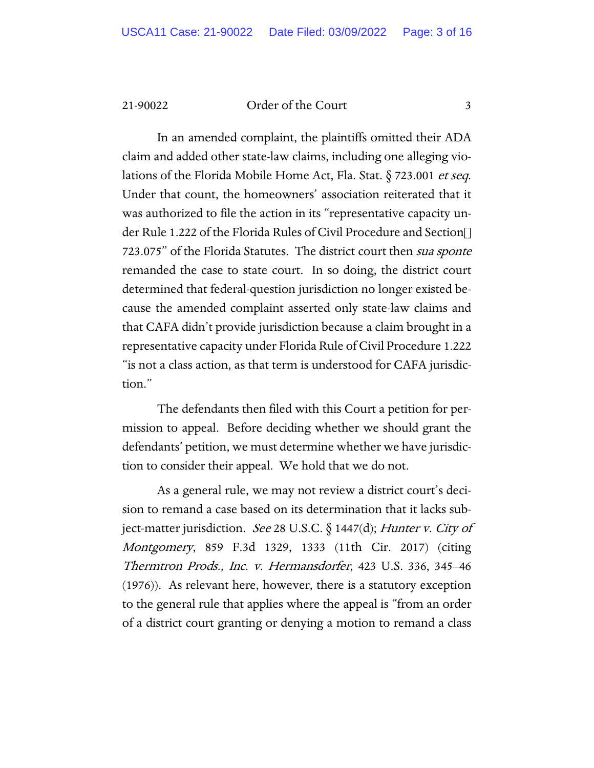#### 21-90022 Order of the Court 3

In an amended complaint, the plaintiffs omitted their ADA claim and added other state-law claims, including one alleging violations of the Florida Mobile Home Act, Fla. Stat. § 723.001 et seq. Under that count, the homeowners' association reiterated that it was authorized to file the action in its "representative capacity under Rule 1.222 of the Florida Rules of Civil Procedure and Section[] 723.075" of the Florida Statutes. The district court then sua sponte remanded the case to state court. In so doing, the district court determined that federal-question jurisdiction no longer existed because the amended complaint asserted only state-law claims and that CAFA didn't provide jurisdiction because a claim brought in a representative capacity under Florida Rule of Civil Procedure 1.222 "is not a class action, as that term is understood for CAFA jurisdiction."

The defendants then filed with this Court a petition for permission to appeal. Before deciding whether we should grant the defendants' petition, we must determine whether we have jurisdiction to consider their appeal. We hold that we do not.

As a general rule, we may not review a district court's decision to remand a case based on its determination that it lacks subject-matter jurisdiction. See 28 U.S.C. § 1447(d); Hunter v. City of Montgomery, 859 F.3d 1329, 1333 (11th Cir. 2017) (citing Thermtron Prods., Inc. v. Hermansdorfer, 423 U.S. 336, 345–46 (1976)). As relevant here, however, there is a statutory exception to the general rule that applies where the appeal is "from an order of a district court granting or denying a motion to remand a class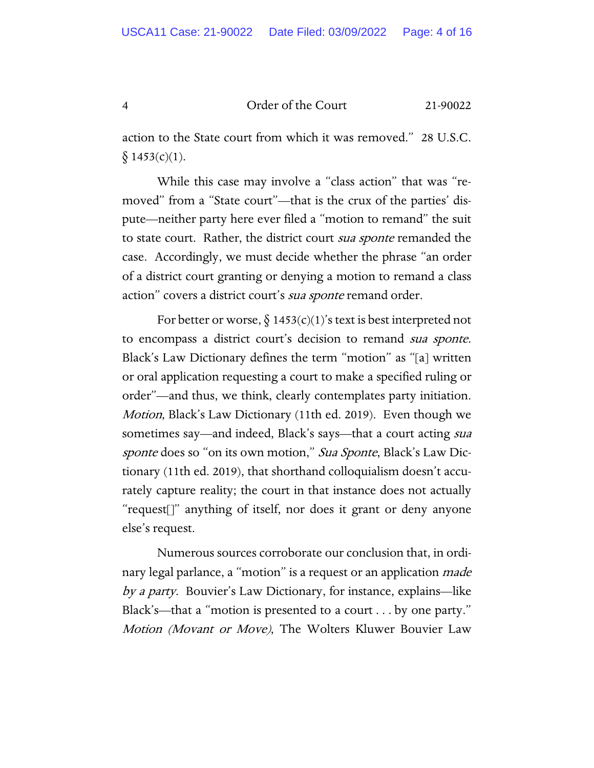4 Order of the Court 21-90022

action to the State court from which it was removed." 28 U.S.C.  $\S$  1453(c)(1).

While this case may involve a "class action" that was "removed" from a "State court"—that is the crux of the parties' dispute—neither party here ever filed a "motion to remand" the suit to state court. Rather, the district court *sua sponte* remanded the case. Accordingly, we must decide whether the phrase "an order of a district court granting or denying a motion to remand a class action" covers a district court's *sua sponte* remand order.

For better or worse,  $\S$  1453(c)(1)'s text is best interpreted not to encompass a district court's decision to remand sua sponte. Black's Law Dictionary defines the term "motion" as "[a] written or oral application requesting a court to make a specified ruling or order"—and thus, we think, clearly contemplates party initiation. Motion, Black's Law Dictionary (11th ed. 2019). Even though we sometimes say—and indeed, Black's says—that a court acting *sua* sponte does so "on its own motion," Sua Sponte, Black's Law Dictionary (11th ed. 2019), that shorthand colloquialism doesn't accurately capture reality; the court in that instance does not actually "request[]" anything of itself, nor does it grant or deny anyone else's request.

Numerous sources corroborate our conclusion that, in ordinary legal parlance, a "motion" is a request or an application *made* by a party. Bouvier's Law Dictionary, for instance, explains—like Black's—that a "motion is presented to a court . . . by one party." Motion (Movant or Move), The Wolters Kluwer Bouvier Law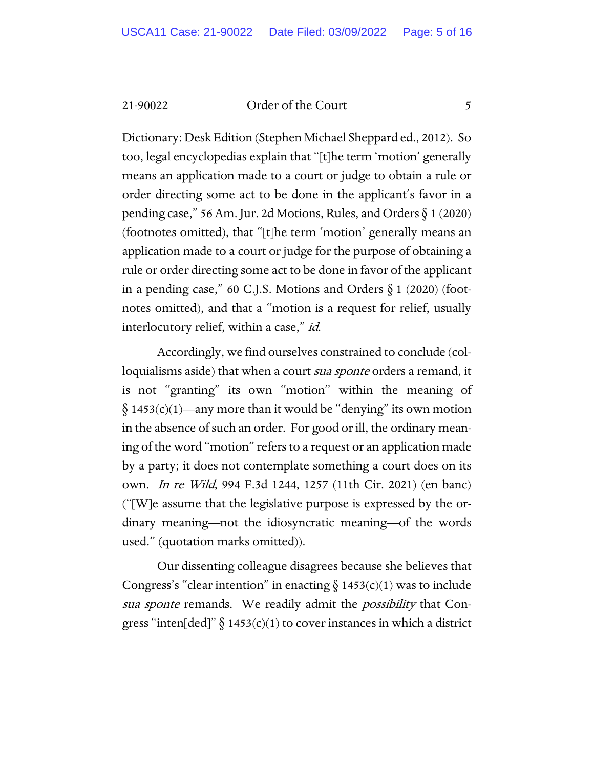21-90022 Order of the Court 5

Dictionary: Desk Edition (Stephen Michael Sheppard ed., 2012). So too, legal encyclopedias explain that "[t]he term 'motion' generally means an application made to a court or judge to obtain a rule or order directing some act to be done in the applicant's favor in a pending case," 56 Am. Jur. 2d Motions, Rules, and Orders  $\S 1$  (2020) (footnotes omitted), that "[t]he term 'motion' generally means an application made to a court or judge for the purpose of obtaining a rule or order directing some act to be done in favor of the applicant in a pending case," 60 C.J.S. Motions and Orders  $\S$  1 (2020) (footnotes omitted), and that a "motion is a request for relief, usually interlocutory relief, within a case," id.

Accordingly, we find ourselves constrained to conclude (colloquialisms aside) that when a court *sua sponte* orders a remand, it is not "granting" its own "motion" within the meaning of  $§ 1453(c)(1)$ —any more than it would be "denying" its own motion in the absence of such an order. For good or ill, the ordinary meaning of the word "motion" refers to a request or an application made by a party; it does not contemplate something a court does on its own. In re Wild, 994 F.3d 1244, 1257 (11th Cir. 2021) (en banc) ("[W]e assume that the legislative purpose is expressed by the ordinary meaning—not the idiosyncratic meaning—of the words used." (quotation marks omitted)).

Our dissenting colleague disagrees because she believes that Congress's "clear intention" in enacting  $\S$  1453(c)(1) was to include sua sponte remands. We readily admit the *possibility* that Congress "inten[ded]"  $\S$  1453(c)(1) to cover instances in which a district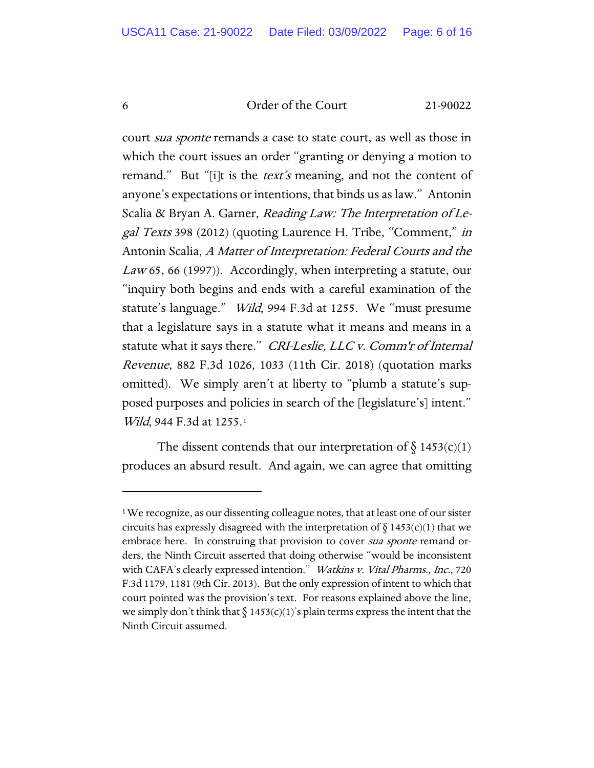#### 6 Order of the Court 21-90022

court *sua sponte* remands a case to state court, as well as those in which the court issues an order "granting or denying a motion to remand." But "[i]t is the *text's* meaning, and not the content of anyone's expectations or intentions, that binds us as law." Antonin Scalia & Bryan A. Garner, Reading Law: The Interpretation of Legal Texts 398 (2012) (quoting Laurence H. Tribe, "Comment," in Antonin Scalia, A Matter of Interpretation: Federal Courts and the Law 65, 66 (1997)). Accordingly, when interpreting a statute, our "inquiry both begins and ends with a careful examination of the statute's language." Wild, 994 F.3d at 1255. We "must presume that a legislature says in a statute what it means and means in a statute what it says there." CRI-Leslie, LLC v. Comm'r of Internal Revenue, 882 F.3d 1026, 1033 (11th Cir. 2018) (quotation marks omitted). We simply aren't at liberty to "plumb a statute's supposed purposes and policies in search of the [legislature's] intent." Wild, 944 F.3d at 1255.<sup>1</sup>

The dissent contends that our interpretation of  $\S 1453(c)(1)$ produces an absurd result. And again, we can agree that omitting

<sup>&</sup>lt;sup>1</sup>We recognize, as our dissenting colleague notes, that at least one of our sister circuits has expressly disagreed with the interpretation of  $\S$  1453(c)(1) that we embrace here. In construing that provision to cover *sua sponte* remand orders, the Ninth Circuit asserted that doing otherwise "would be inconsistent with CAFA's clearly expressed intention." Watkins v. Vital Pharms., Inc., 720 F.3d 1179, 1181 (9th Cir. 2013). But the only expression of intent to which that court pointed was the provision's text. For reasons explained above the line, we simply don't think that  $\S 1453(c)(1)$ 's plain terms express the intent that the Ninth Circuit assumed.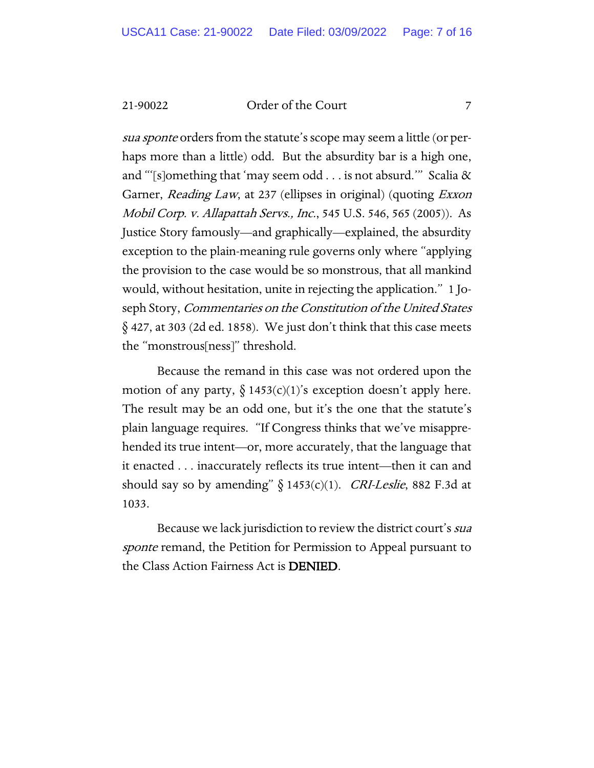21-90022 Order of the Court 7

sua sponte orders from the statute's scope may seem a little (or perhaps more than a little) odd. But the absurdity bar is a high one, and "'[s]omething that 'may seem odd . . . is not absurd.'" Scalia & Garner, *Reading Law*, at 237 (ellipses in original) (quoting *Exxon* Mobil Corp. v. Allapattah Servs., Inc., 545 U.S. 546, 565 (2005)). As Justice Story famously—and graphically—explained, the absurdity exception to the plain-meaning rule governs only where "applying the provision to the case would be so monstrous, that all mankind would, without hesitation, unite in rejecting the application." 1 Joseph Story, *Commentaries on the Constitution of the United States*  $\S$  427, at 303 (2d ed. 1858). We just don't think that this case meets the "monstrous[ness]" threshold.

Because the remand in this case was not ordered upon the motion of any party,  $\S$  1453(c)(1)'s exception doesn't apply here. The result may be an odd one, but it's the one that the statute's plain language requires. "If Congress thinks that we've misapprehended its true intent—or, more accurately, that the language that it enacted . . . inaccurately reflects its true intent—then it can and should say so by amending"  $§ 1453(c)(1)$ . *CRI-Leslie*, 882 F.3d at 1033.

Because we lack jurisdiction to review the district court's sua sponte remand, the Petition for Permission to Appeal pursuant to the Class Action Fairness Act is DENIED.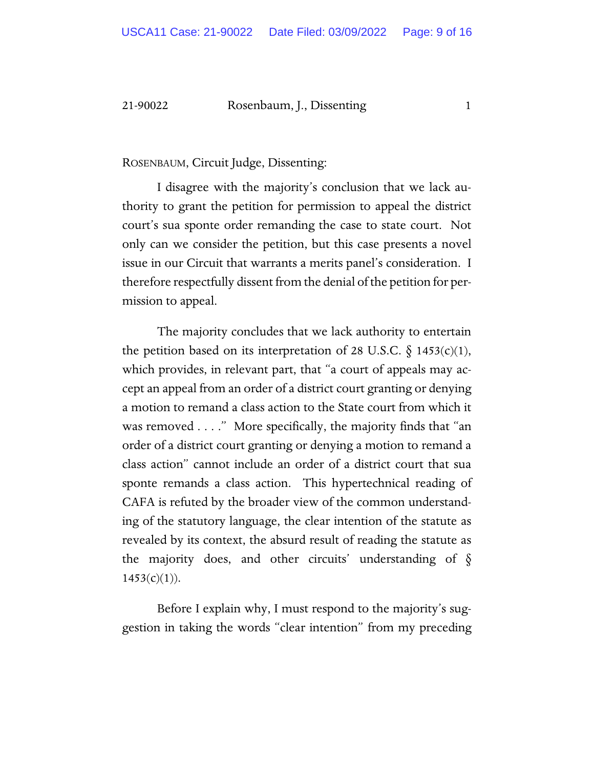#### 21-90022 Rosenbaum, J., Dissenting 1

ROSENBAUM, Circuit Judge, Dissenting:

I disagree with the majority's conclusion that we lack authority to grant the petition for permission to appeal the district court's sua sponte order remanding the case to state court. Not only can we consider the petition, but this case presents a novel issue in our Circuit that warrants a merits panel's consideration. I therefore respectfully dissent from the denial of the petition for permission to appeal.

The majority concludes that we lack authority to entertain the petition based on its interpretation of 28 U.S.C.  $\S$  1453(c)(1), which provides, in relevant part, that "a court of appeals may accept an appeal from an order of a district court granting or denying a motion to remand a class action to the State court from which it was removed . . . ." More specifically, the majority finds that "an order of a district court granting or denying a motion to remand a class action" cannot include an order of a district court that sua sponte remands a class action. This hypertechnical reading of CAFA is refuted by the broader view of the common understanding of the statutory language, the clear intention of the statute as revealed by its context, the absurd result of reading the statute as the majority does, and other circuits' understanding of  $\S$  $1453(c)(1)$ ).

Before I explain why, I must respond to the majority's suggestion in taking the words "clear intention" from my preceding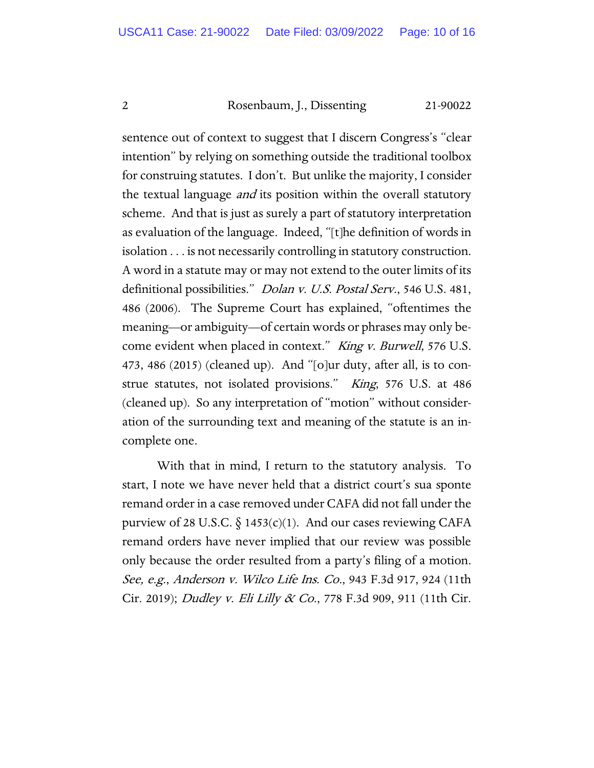2 Rosenbaum, J., Dissenting 21-90022

sentence out of context to suggest that I discern Congress's "clear intention" by relying on something outside the traditional toolbox for construing statutes. I don't. But unlike the majority, I consider the textual language *and* its position within the overall statutory scheme. And that is just as surely a part of statutory interpretation as evaluation of the language. Indeed, "[t]he definition of words in isolation . . . is not necessarily controlling in statutory construction. A word in a statute may or may not extend to the outer limits of its definitional possibilities." *Dolan v. U.S. Postal Serv.*, 546 U.S. 481, 486 (2006). The Supreme Court has explained, "oftentimes the meaning—or ambiguity—of certain words or phrases may only become evident when placed in context." King v. Burwell, 576 U.S. 473, 486 (2015) (cleaned up). And "[o]ur duty, after all, is to construe statutes, not isolated provisions." King, 576 U.S. at 486 (cleaned up). So any interpretation of "motion" without consideration of the surrounding text and meaning of the statute is an incomplete one.

With that in mind, I return to the statutory analysis. To start, I note we have never held that a district court's sua sponte remand order in a case removed under CAFA did not fall under the purview of 28 U.S.C.  $\S$  1453(c)(1). And our cases reviewing CAFA remand orders have never implied that our review was possible only because the order resulted from a party's filing of a motion. See, e.g., Anderson v. Wilco Life Ins. Co., 943 F.3d 917, 924 (11th Cir. 2019); *Dudley v. Eli Lilly & Co.*, 778 F.3d 909, 911 (11th Cir.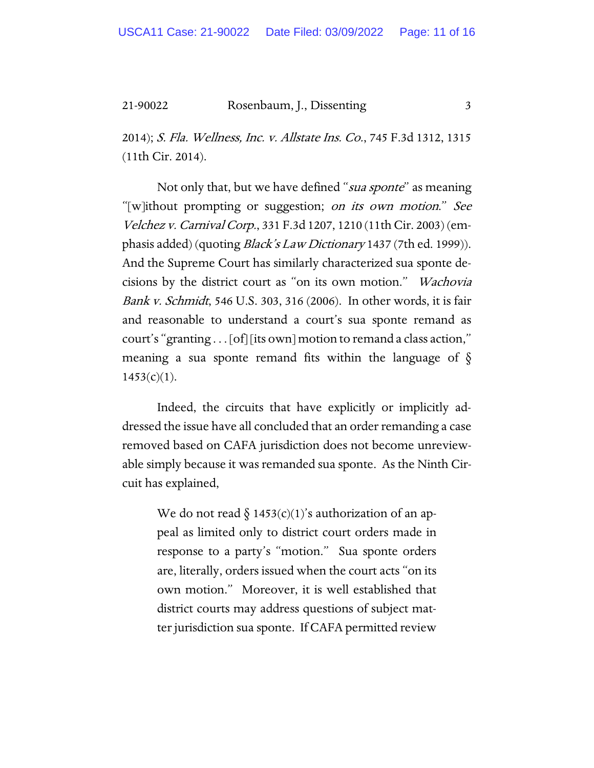21-90022 Rosenbaum, J., Dissenting 3

2014); S. Fla. Wellness, Inc. v. Allstate Ins. Co., 745 F.3d 1312, 1315 (11th Cir. 2014).

Not only that, but we have defined "*sua sponte*" as meaning "[w]ithout prompting or suggestion; on its own motion." See Velchez v. Carnival Corp., 331 F.3d 1207, 1210 (11th Cir. 2003) (emphasis added) (quoting *Black's Law Dictionary* 1437 (7th ed. 1999)). And the Supreme Court has similarly characterized sua sponte decisions by the district court as "on its own motion." Wachovia Bank v. Schmidt, 546 U.S. 303, 316 (2006). In other words, it is fair and reasonable to understand a court's sua sponte remand as court's "granting . . . [of] [its own] motion to remand a class action," meaning a sua sponte remand fits within the language of  $\delta$  $1453(c)(1)$ .

Indeed, the circuits that have explicitly or implicitly addressed the issue have all concluded that an order remanding a case removed based on CAFA jurisdiction does not become unreviewable simply because it was remanded sua sponte. As the Ninth Circuit has explained,

> We do not read  $\S 1453(c)(1)$ 's authorization of an appeal as limited only to district court orders made in response to a party's "motion." Sua sponte orders are, literally, orders issued when the court acts "on its own motion." Moreover, it is well established that district courts may address questions of subject matter jurisdiction sua sponte. If CAFA permitted review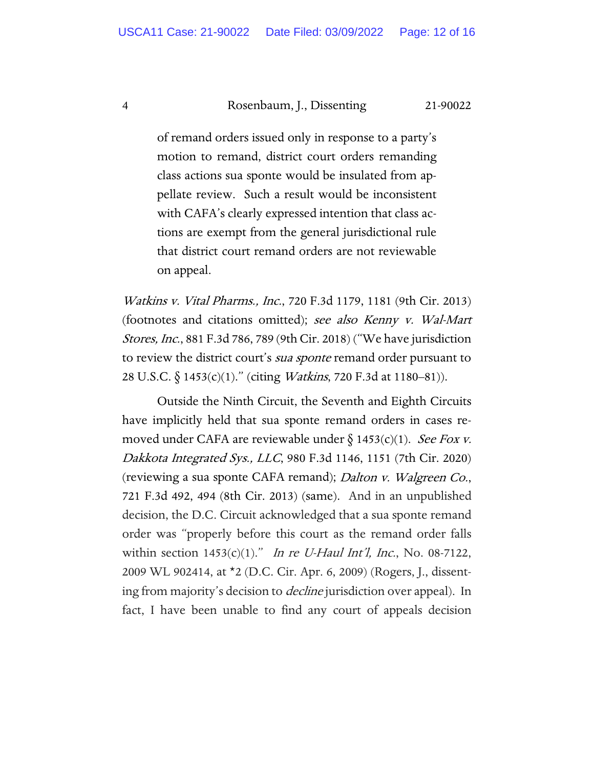#### 4 Rosenbaum, J., Dissenting 21-90022

of remand orders issued only in response to a party's motion to remand, district court orders remanding class actions sua sponte would be insulated from appellate review. Such a result would be inconsistent with CAFA's clearly expressed intention that class actions are exempt from the general jurisdictional rule that district court remand orders are not reviewable on appeal.

Watkins v. Vital Pharms., Inc., 720 F.3d 1179, 1181 (9th Cir. 2013) (footnotes and citations omitted); see also Kenny v. Wal-Mart Stores, Inc., 881 F.3d 786, 789 (9th Cir. 2018) ("We have jurisdiction to review the district court's *sua sponte* remand order pursuant to 28 U.S.C. § 1453(c)(1)." (citing Watkins, 720 F.3d at 1180–81)).

Outside the Ninth Circuit, the Seventh and Eighth Circuits have implicitly held that sua sponte remand orders in cases removed under CAFA are reviewable under  $\S 1453(c)(1)$ . See Fox v. Dakkota Integrated Sys., LLC, 980 F.3d 1146, 1151 (7th Cir. 2020) (reviewing a sua sponte CAFA remand); Dalton v. Walgreen Co., 721 F.3d 492, 494 (8th Cir. 2013) (same). And in an unpublished decision, the D.C. Circuit acknowledged that a sua sponte remand order was "properly before this court as the remand order falls within section  $1453(c)(1)$ ." In re U-Haul Int'l, Inc., No. 08-7122, 2009 WL 902414, at \*2 (D.C. Cir. Apr. 6, 2009) (Rogers, J., dissenting from majority's decision to *decline* jurisdiction over appeal). In fact, I have been unable to find any court of appeals decision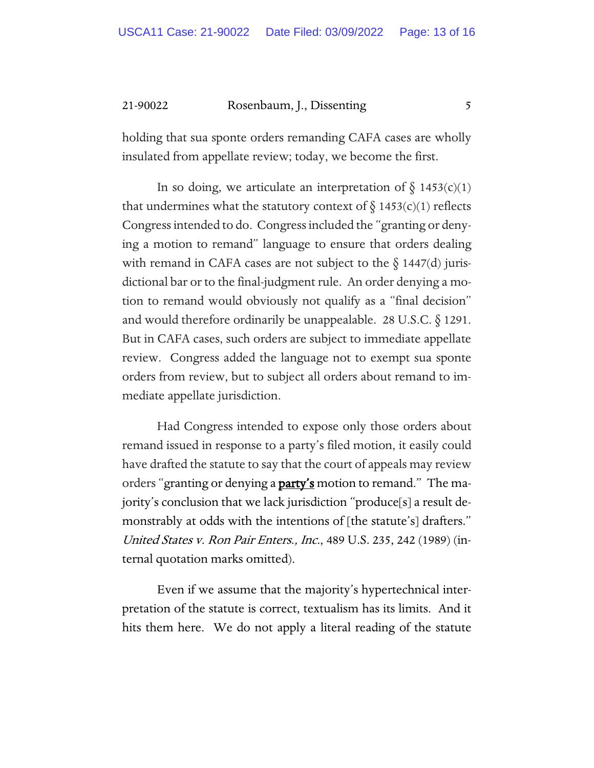21-90022 Rosenbaum, J., Dissenting 5

holding that sua sponte orders remanding CAFA cases are wholly insulated from appellate review; today, we become the first.

In so doing, we articulate an interpretation of  $\S$  1453(c)(1) that undermines what the statutory context of  $\S$  1453(c)(1) reflects Congress intended to do. Congressincluded the "granting or denying a motion to remand" language to ensure that orders dealing with remand in CAFA cases are not subject to the  $\S$  1447(d) jurisdictional bar or to the final-judgment rule. An order denying a motion to remand would obviously not qualify as a "final decision" and would therefore ordinarily be unappealable. 28 U.S.C. § 1291. But in CAFA cases, such orders are subject to immediate appellate review. Congress added the language not to exempt sua sponte orders from review, but to subject all orders about remand to immediate appellate jurisdiction.

Had Congress intended to expose only those orders about remand issued in response to a party's filed motion, it easily could have drafted the statute to say that the court of appeals may review orders "granting or denying a party's motion to remand." The majority's conclusion that we lack jurisdiction "produce[s] a result demonstrably at odds with the intentions of [the statute's] drafters." United States v. Ron Pair Enters., Inc., 489 U.S. 235, 242 (1989) (internal quotation marks omitted).

Even if we assume that the majority's hypertechnical interpretation of the statute is correct, textualism has its limits. And it hits them here. We do not apply a literal reading of the statute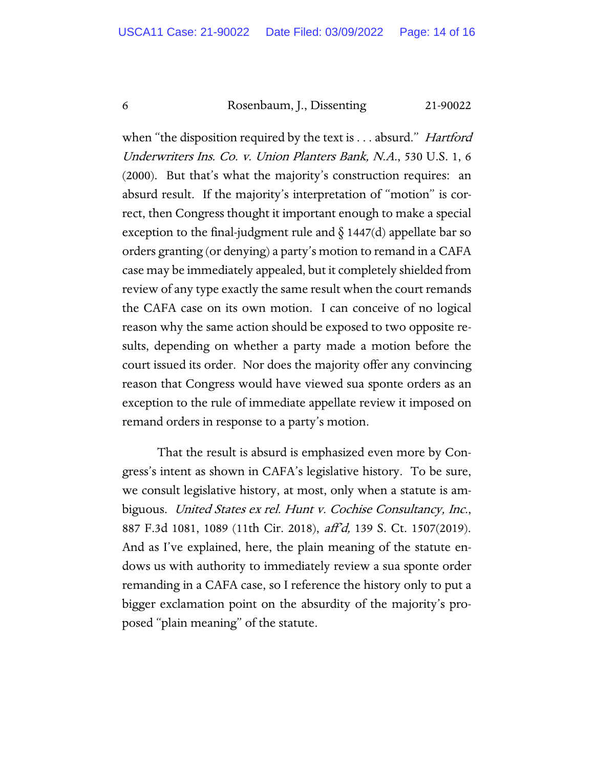#### 6 Rosenbaum, J., Dissenting 21-90022

when "the disposition required by the text is . . . absurd." *Hartford* Underwriters Ins. Co. v. Union Planters Bank, N.A., 530 U.S. 1, 6 (2000). But that's what the majority's construction requires: an absurd result. If the majority's interpretation of "motion" is correct, then Congress thought it important enough to make a special exception to the final-judgment rule and  $\S$  1447(d) appellate bar so orders granting (or denying) a party's motion to remand in a CAFA case may be immediately appealed, but it completely shielded from review of any type exactly the same result when the court remands the CAFA case on its own motion. I can conceive of no logical reason why the same action should be exposed to two opposite results, depending on whether a party made a motion before the court issued its order. Nor does the majority offer any convincing reason that Congress would have viewed sua sponte orders as an exception to the rule of immediate appellate review it imposed on remand orders in response to a party's motion.

That the result is absurd is emphasized even more by Congress's intent as shown in CAFA's legislative history. To be sure, we consult legislative history, at most, only when a statute is ambiguous. United States ex rel. Hunt v. Cochise Consultancy, Inc., 887 F.3d 1081, 1089 (11th Cir. 2018), aff'd, 139 S. Ct. 1507(2019). And as I've explained, here, the plain meaning of the statute endows us with authority to immediately review a sua sponte order remanding in a CAFA case, so I reference the history only to put a bigger exclamation point on the absurdity of the majority's proposed "plain meaning" of the statute.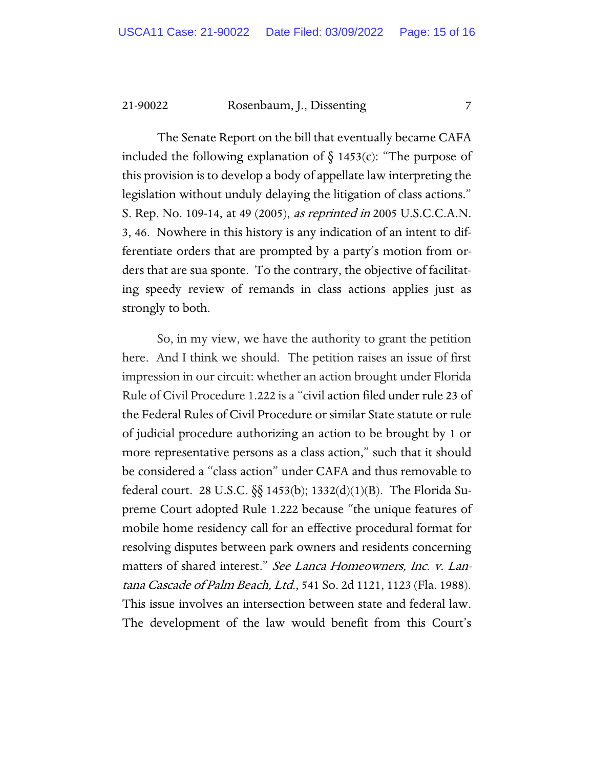21-90022 Rosenbaum, J., Dissenting 7

The Senate Report on the bill that eventually became CAFA included the following explanation of  $\S$  1453(c): "The purpose of this provision is to develop a body of appellate law interpreting the legislation without unduly delaying the litigation of class actions." S. Rep. No. 109-14, at 49 (2005), as reprinted in 2005 U.S.C.C.A.N. 3, 46. Nowhere in this history is any indication of an intent to differentiate orders that are prompted by a party's motion from orders that are sua sponte. To the contrary, the objective of facilitating speedy review of remands in class actions applies just as strongly to both.

So, in my view, we have the authority to grant the petition here. And I think we should. The petition raises an issue of first impression in our circuit: whether an action brought under Florida Rule of Civil Procedure 1.222 is a "civil action filed under rule 23 of the Federal Rules of Civil Procedure or similar State statute or rule of judicial procedure authorizing an action to be brought by 1 or more representative persons as a class action," such that it should be considered a "class action" under CAFA and thus removable to federal court. 28 U.S.C. §§ 1453(b); 1332(d)(1)(B). The Florida Supreme Court adopted Rule 1.222 because "the unique features of mobile home residency call for an effective procedural format for resolving disputes between park owners and residents concerning matters of shared interest." See Lanca Homeowners, Inc. v. Lantana Cascade of Palm Beach, Ltd., 541 So. 2d 1121, 1123 (Fla. 1988). This issue involves an intersection between state and federal law. The development of the law would benefit from this Court's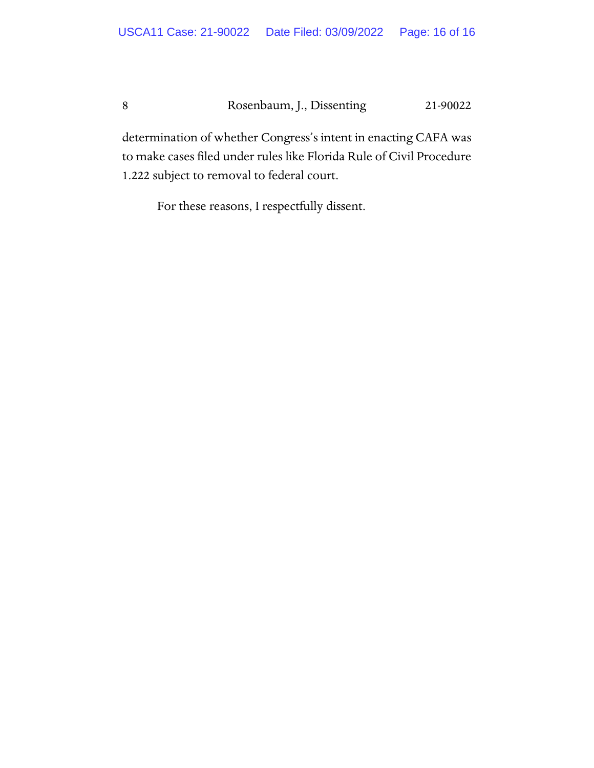8 Rosenbaum, J., Dissenting 21-90022

determination of whether Congress's intent in enacting CAFA was to make cases filed under rules like Florida Rule of Civil Procedure 1.222 subject to removal to federal court.

For these reasons, I respectfully dissent.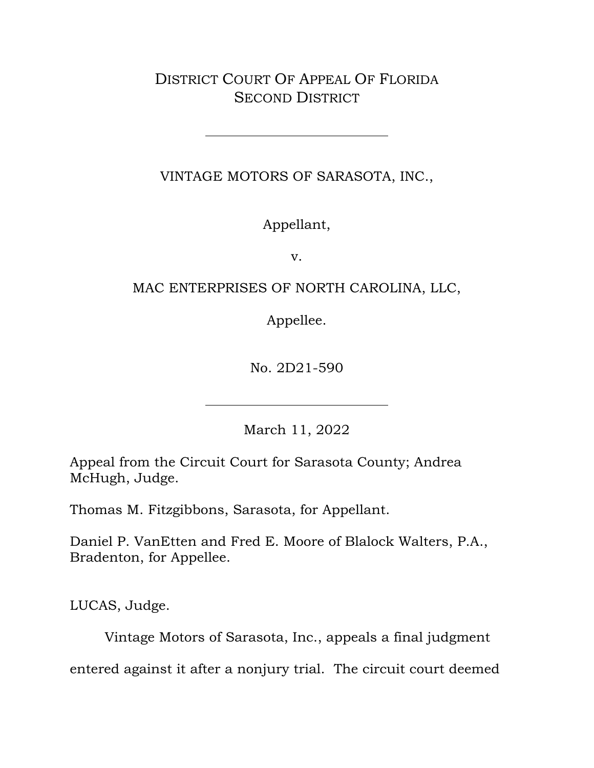### DISTRICT COURT OF APPEAL OF FLORIDA SECOND DISTRICT

VINTAGE MOTORS OF SARASOTA, INC.,

Appellant,

v.

### MAC ENTERPRISES OF NORTH CAROLINA, LLC,

Appellee.

No. 2D21-590

March 11, 2022

Appeal from the Circuit Court for Sarasota County; Andrea McHugh, Judge.

Thomas M. Fitzgibbons, Sarasota, for Appellant.

Daniel P. VanEtten and Fred E. Moore of Blalock Walters, P.A., Bradenton, for Appellee.

LUCAS, Judge.

Vintage Motors of Sarasota, Inc., appeals a final judgment

entered against it after a nonjury trial. The circuit court deemed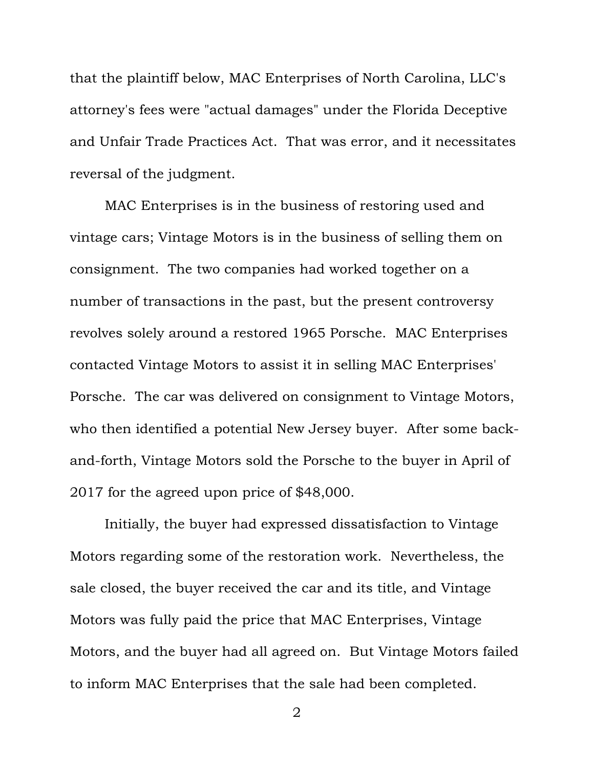that the plaintiff below, MAC Enterprises of North Carolina, LLC's attorney's fees were "actual damages" under the Florida Deceptive and Unfair Trade Practices Act. That was error, and it necessitates reversal of the judgment.

MAC Enterprises is in the business of restoring used and vintage cars; Vintage Motors is in the business of selling them on consignment. The two companies had worked together on a number of transactions in the past, but the present controversy revolves solely around a restored 1965 Porsche. MAC Enterprises contacted Vintage Motors to assist it in selling MAC Enterprises' Porsche. The car was delivered on consignment to Vintage Motors, who then identified a potential New Jersey buyer. After some backand-forth, Vintage Motors sold the Porsche to the buyer in April of 2017 for the agreed upon price of \$48,000.

Initially, the buyer had expressed dissatisfaction to Vintage Motors regarding some of the restoration work. Nevertheless, the sale closed, the buyer received the car and its title, and Vintage Motors was fully paid the price that MAC Enterprises, Vintage Motors, and the buyer had all agreed on. But Vintage Motors failed to inform MAC Enterprises that the sale had been completed.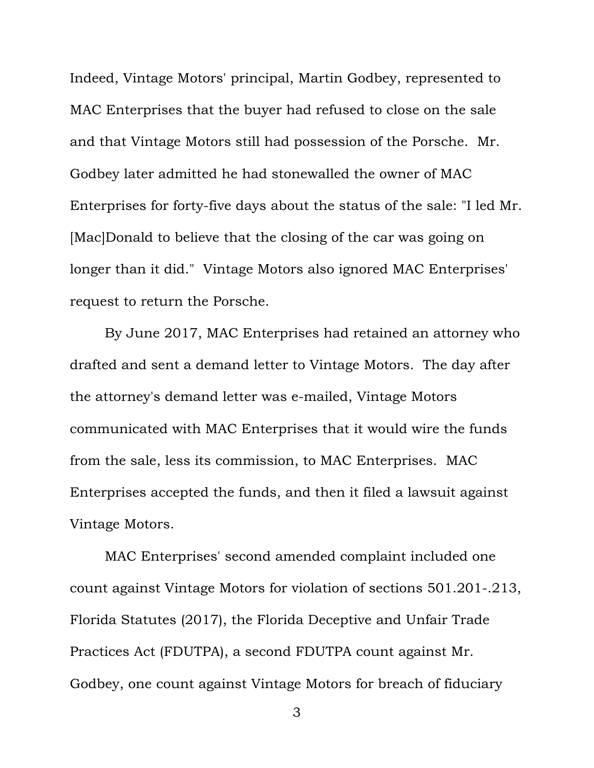Indeed, Vintage Motors' principal, Martin Godbey, represented to MAC Enterprises that the buyer had refused to close on the sale and that Vintage Motors still had possession of the Porsche. Mr. Godbey later admitted he had stonewalled the owner of MAC Enterprises for forty-five days about the status of the sale: "I led Mr. [Mac]Donald to believe that the closing of the car was going on longer than it did." Vintage Motors also ignored MAC Enterprises' request to return the Porsche.

By June 2017, MAC Enterprises had retained an attorney who drafted and sent a demand letter to Vintage Motors. The day after the attorney's demand letter was e-mailed, Vintage Motors communicated with MAC Enterprises that it would wire the funds from the sale, less its commission, to MAC Enterprises. MAC Enterprises accepted the funds, and then it filed a lawsuit against Vintage Motors.

MAC Enterprises' second amended complaint included one count against Vintage Motors for violation of sections 501.201-.213, Florida Statutes (2017), the Florida Deceptive and Unfair Trade Practices Act (FDUTPA), a second FDUTPA count against Mr. Godbey, one count against Vintage Motors for breach of fiduciary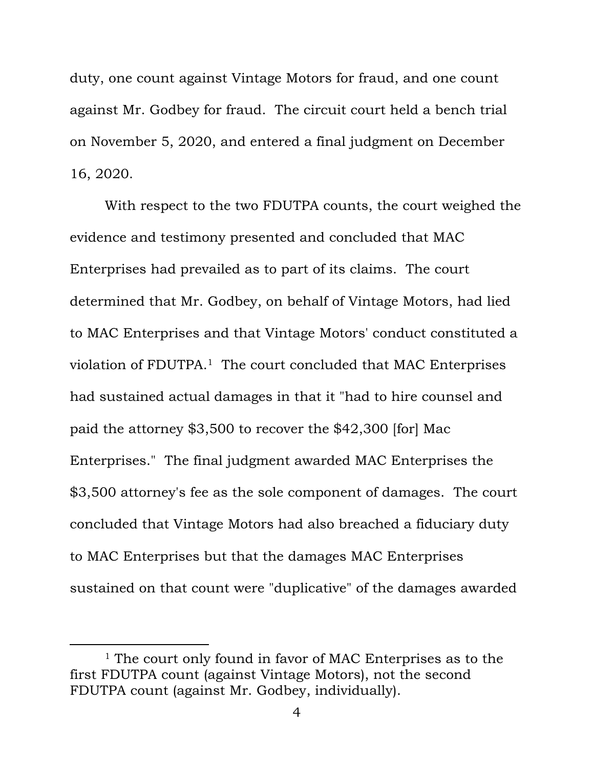duty, one count against Vintage Motors for fraud, and one count against Mr. Godbey for fraud. The circuit court held a bench trial on November 5, 2020, and entered a final judgment on December 16, 2020.

With respect to the two FDUTPA counts, the court weighed the evidence and testimony presented and concluded that MAC Enterprises had prevailed as to part of its claims. The court determined that Mr. Godbey, on behalf of Vintage Motors, had lied to MAC Enterprises and that Vintage Motors' conduct constituted a violation of FDUTPA.<sup>1</sup> The court concluded that MAC Enterprises had sustained actual damages in that it "had to hire counsel and paid the attorney \$3,500 to recover the \$42,300 [for] Mac Enterprises." The final judgment awarded MAC Enterprises the \$3,500 attorney's fee as the sole component of damages. The court concluded that Vintage Motors had also breached a fiduciary duty to MAC Enterprises but that the damages MAC Enterprises sustained on that count were "duplicative" of the damages awarded

<sup>&</sup>lt;sup>1</sup> The court only found in favor of MAC Enterprises as to the first FDUTPA count (against Vintage Motors), not the second FDUTPA count (against Mr. Godbey, individually).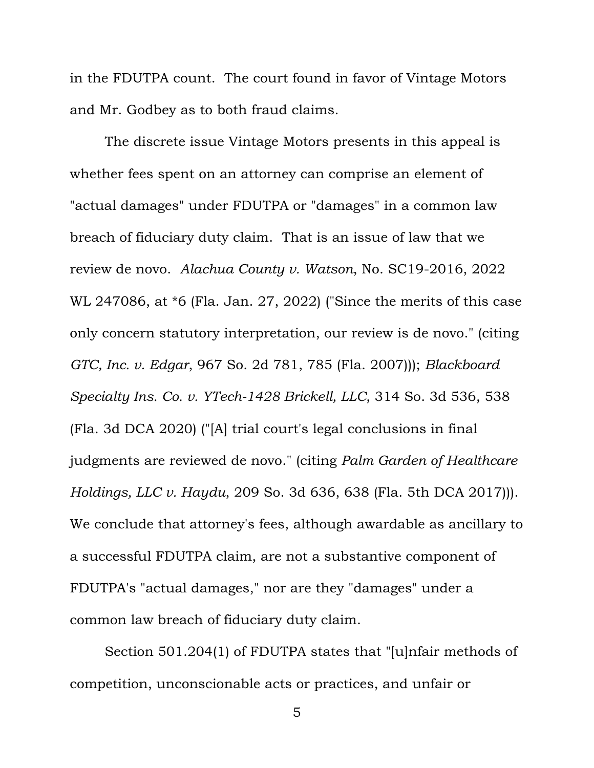in the FDUTPA count. The court found in favor of Vintage Motors and Mr. Godbey as to both fraud claims.

The discrete issue Vintage Motors presents in this appeal is whether fees spent on an attorney can comprise an element of "actual damages" under FDUTPA or "damages" in a common law breach of fiduciary duty claim. That is an issue of law that we review de novo. *Alachua County v. Watson*, No. SC19-2016, 2022 WL 247086, at \*6 (Fla. Jan. 27, 2022) ("Since the merits of this case only concern statutory interpretation, our review is de novo." (citing *GTC, Inc. v. Edgar*, 967 So. 2d 781, 785 (Fla. 2007))); *Blackboard Specialty Ins. Co. v. YTech-1428 Brickell, LLC*, 314 So. 3d 536, 538 (Fla. 3d DCA 2020) ("[A] trial court's legal conclusions in final judgments are reviewed de novo." (citing *Palm Garden of Healthcare Holdings, LLC v. Haydu*, 209 So. 3d 636, 638 (Fla. 5th DCA 2017))). We conclude that attorney's fees, although awardable as ancillary to a successful FDUTPA claim, are not a substantive component of FDUTPA's "actual damages," nor are they "damages" under a common law breach of fiduciary duty claim.

Section 501.204(1) of FDUTPA states that "[u]nfair methods of competition, unconscionable acts or practices, and unfair or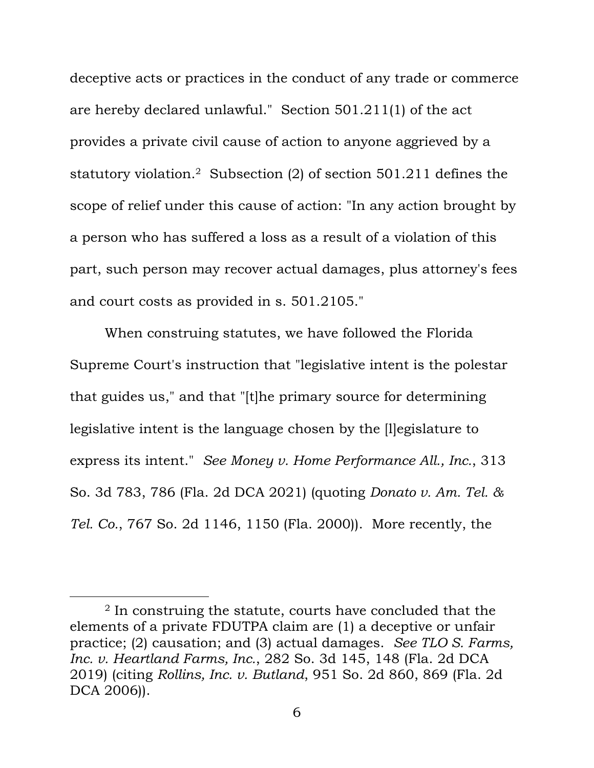deceptive acts or practices in the conduct of any trade or commerce are hereby declared unlawful." Section 501.211(1) of the act provides a private civil cause of action to anyone aggrieved by a statutory violation.<sup>2</sup> Subsection (2) of section 501.211 defines the scope of relief under this cause of action: "In any action brought by a person who has suffered a loss as a result of a violation of this part, such person may recover actual damages, plus attorney's fees and court costs as provided in s. 501.2105."

When construing statutes, we have followed the Florida Supreme Court's instruction that "legislative intent is the polestar that guides us," and that "[t]he primary source for determining legislative intent is the language chosen by the [l]egislature to express its intent." *See Money v. Home Performance All., Inc.*, 313 So. 3d 783, 786 (Fla. 2d DCA 2021) (quoting *Donato v. Am. Tel. & Tel. Co.*, 767 So. 2d 1146, 1150 (Fla. 2000)). More recently, the

<sup>&</sup>lt;sup>2</sup> In construing the statute, courts have concluded that the elements of a private FDUTPA claim are (1) a deceptive or unfair practice; (2) causation; and (3) actual damages. *See TLO S. Farms, Inc. v. Heartland Farms, Inc.*, 282 So. 3d 145, 148 (Fla. 2d DCA 2019) (citing *Rollins, Inc. v. Butland*, 951 So. 2d 860, 869 (Fla. 2d DCA 2006)).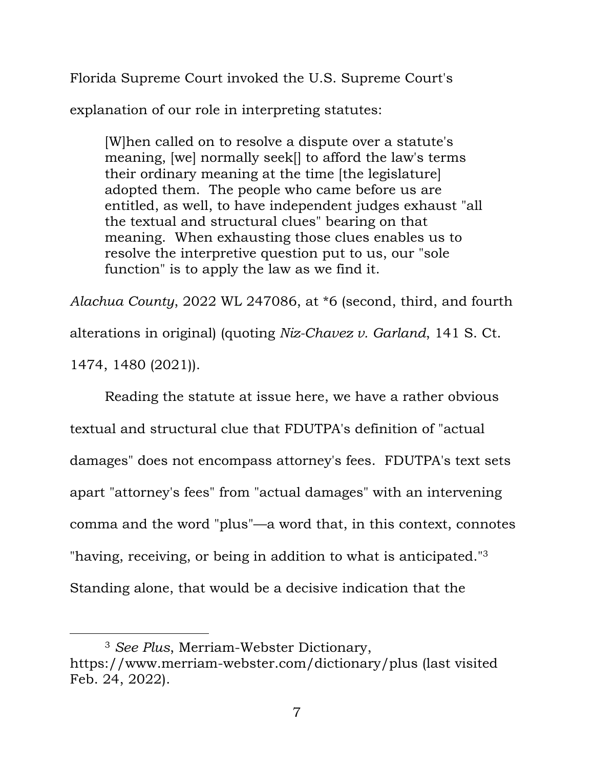Florida Supreme Court invoked the U.S. Supreme Court's

explanation of our role in interpreting statutes:

[W]hen called on to resolve a dispute over a statute's meaning, [we] normally seek[] to afford the law's terms their ordinary meaning at the time [the legislature] adopted them. The people who came before us are entitled, as well, to have independent judges exhaust "all the textual and structural clues" bearing on that meaning. When exhausting those clues enables us to resolve the interpretive question put to us, our "sole function" is to apply the law as we find it.

*Alachua County*, 2022 WL 247086, at \*6 (second, third, and fourth alterations in original) (quoting *Niz-Chavez v. Garland*, 141 S. Ct.

1474, 1480 (2021)).

Reading the statute at issue here, we have a rather obvious textual and structural clue that FDUTPA's definition of "actual damages" does not encompass attorney's fees. FDUTPA's text sets apart "attorney's fees" from "actual damages" with an intervening comma and the word "plus"—a word that, in this context, connotes "having, receiving, or being in addition to what is anticipated."<sup>3</sup> Standing alone, that would be a decisive indication that the

<sup>3</sup> *See Plus*, Merriam-Webster Dictionary, https://www.merriam-webster.com/dictionary/plus (last visited Feb. 24, 2022).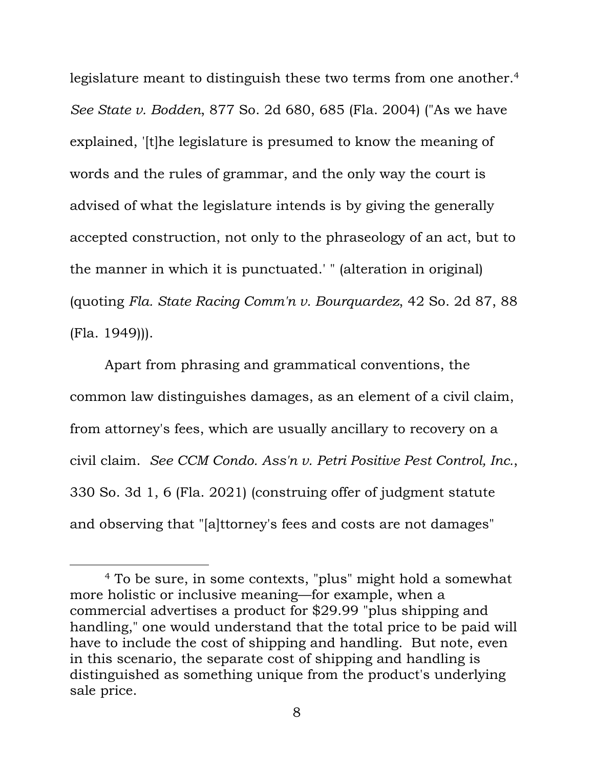legislature meant to distinguish these two terms from one another.<sup>4</sup> *See State v. Bodden*, 877 So. 2d 680, 685 (Fla. 2004) ("As we have explained, '[t]he legislature is presumed to know the meaning of words and the rules of grammar, and the only way the court is advised of what the legislature intends is by giving the generally accepted construction, not only to the phraseology of an act, but to the manner in which it is punctuated.' " (alteration in original) (quoting *Fla. State Racing Comm'n v. Bourquardez*, 42 So. 2d 87, 88 (Fla. 1949))).

Apart from phrasing and grammatical conventions, the common law distinguishes damages, as an element of a civil claim, from attorney's fees, which are usually ancillary to recovery on a civil claim. *See CCM Condo. Ass'n v. Petri Positive Pest Control, Inc.*, 330 So. 3d 1, 6 (Fla. 2021) (construing offer of judgment statute and observing that "[a]ttorney's fees and costs are not damages"

<sup>4</sup> To be sure, in some contexts, "plus" might hold a somewhat more holistic or inclusive meaning—for example, when a commercial advertises a product for \$29.99 "plus shipping and handling," one would understand that the total price to be paid will have to include the cost of shipping and handling. But note, even in this scenario, the separate cost of shipping and handling is distinguished as something unique from the product's underlying sale price.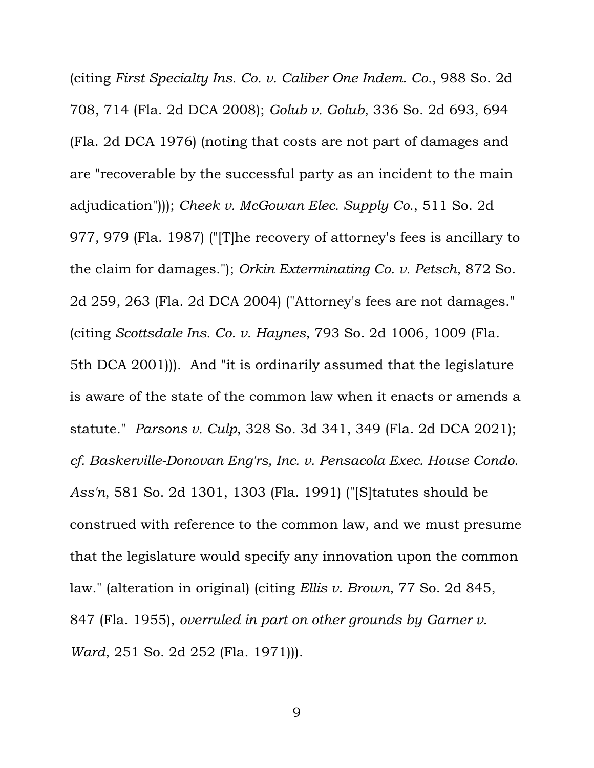(citing *First Specialty Ins. Co. v. Caliber One Indem. Co.*, 988 So. 2d 708, 714 (Fla. 2d DCA 2008); *Golub v. Golub*, 336 So. 2d 693, 694 (Fla. 2d DCA 1976) (noting that costs are not part of damages and are "recoverable by the successful party as an incident to the main adjudication"))); *Cheek v. McGowan Elec. Supply Co.*, 511 So. 2d 977, 979 (Fla. 1987) ("[T]he recovery of attorney's fees is ancillary to the claim for damages."); *Orkin Exterminating Co. v. Petsch*, 872 So. 2d 259, 263 (Fla. 2d DCA 2004) ("Attorney's fees are not damages." (citing *Scottsdale Ins. Co. v. Haynes*, 793 So. 2d 1006, 1009 (Fla. 5th DCA 2001))). And "it is ordinarily assumed that the legislature is aware of the state of the common law when it enacts or amends a statute." *Parsons v. Culp*, 328 So. 3d 341, 349 (Fla. 2d DCA 2021); *cf. Baskerville-Donovan Eng'rs, Inc. v. Pensacola Exec. House Condo. Ass'n*, 581 So. 2d 1301, 1303 (Fla. 1991) ("[S]tatutes should be construed with reference to the common law, and we must presume that the legislature would specify any innovation upon the common law." (alteration in original) (citing *Ellis v. Brown*, 77 So. 2d 845, 847 (Fla. 1955), *overruled in part on other grounds by Garner v. Ward*, 251 So. 2d 252 (Fla. 1971)).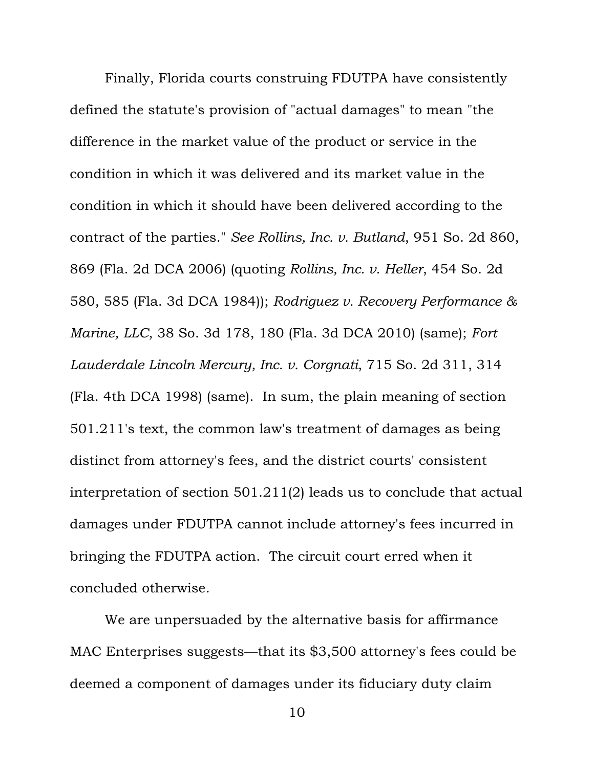Finally, Florida courts construing FDUTPA have consistently defined the statute's provision of "actual damages" to mean "the difference in the market value of the product or service in the condition in which it was delivered and its market value in the condition in which it should have been delivered according to the contract of the parties." *See Rollins, Inc. v. Butland*, 951 So. 2d 860, 869 (Fla. 2d DCA 2006) (quoting *Rollins, Inc. v. Heller*, 454 So. 2d 580, 585 (Fla. 3d DCA 1984)); *Rodriguez v. Recovery Performance & Marine, LLC*, 38 So. 3d 178, 180 (Fla. 3d DCA 2010) (same); *Fort Lauderdale Lincoln Mercury, Inc. v. Corgnati*, 715 So. 2d 311, 314 (Fla. 4th DCA 1998) (same). In sum, the plain meaning of section 501.211's text, the common law's treatment of damages as being distinct from attorney's fees, and the district courts' consistent interpretation of section 501.211(2) leads us to conclude that actual damages under FDUTPA cannot include attorney's fees incurred in bringing the FDUTPA action. The circuit court erred when it concluded otherwise.

We are unpersuaded by the alternative basis for affirmance MAC Enterprises suggests—that its \$3,500 attorney's fees could be deemed a component of damages under its fiduciary duty claim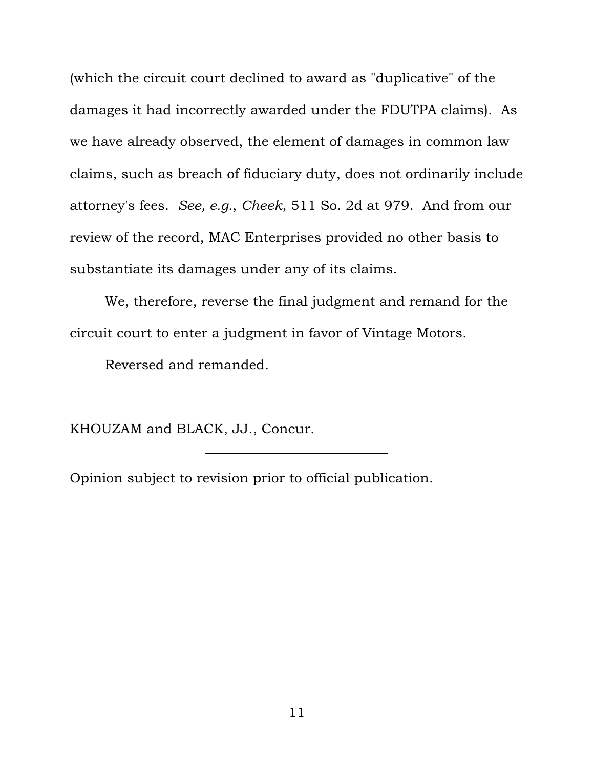(which the circuit court declined to award as "duplicative" of the damages it had incorrectly awarded under the FDUTPA claims). As we have already observed, the element of damages in common law claims, such as breach of fiduciary duty, does not ordinarily include attorney's fees. *See, e.g.*, *Cheek*, 511 So. 2d at 979. And from our review of the record, MAC Enterprises provided no other basis to substantiate its damages under any of its claims.

We, therefore, reverse the final judgment and remand for the circuit court to enter a judgment in favor of Vintage Motors.

Reversed and remanded.

KHOUZAM and BLACK, JJ., Concur.

Opinion subject to revision prior to official publication.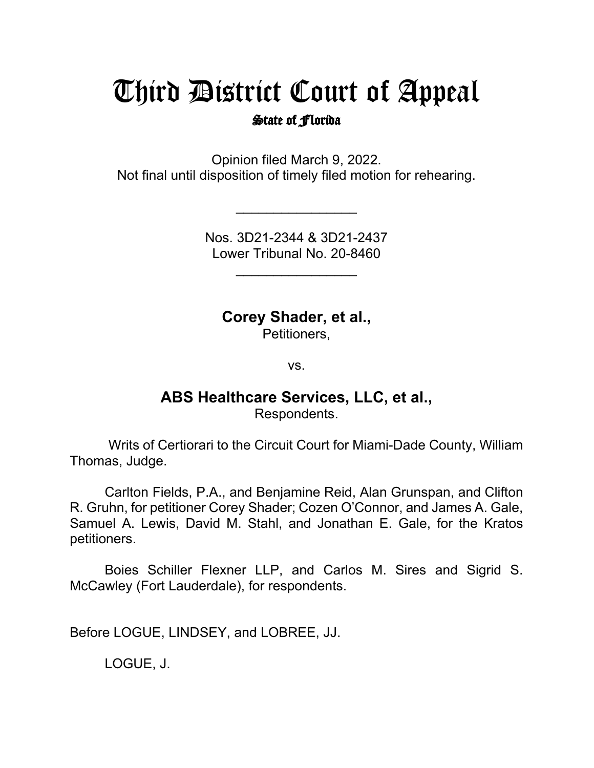# Third District Court of Appeal

#### State of Florida

Opinion filed March 9, 2022. Not final until disposition of timely filed motion for rehearing.

> Nos. 3D21-2344 & 3D21-2437 Lower Tribunal No. 20-8460

> > $\overline{\phantom{a}}$

\_\_\_\_\_\_\_\_\_\_\_\_\_\_\_\_

**Corey Shader, et al.,**

Petitioners,

vs.

### **ABS Healthcare Services, LLC, et al.,**

Respondents.

Writs of Certiorari to the Circuit Court for Miami-Dade County, William Thomas, Judge.

Carlton Fields, P.A., and Benjamine Reid, Alan Grunspan, and Clifton R. Gruhn, for petitioner Corey Shader; Cozen O'Connor, and James A. Gale, Samuel A. Lewis, David M. Stahl, and Jonathan E. Gale, for the Kratos petitioners.

Boies Schiller Flexner LLP, and Carlos M. Sires and Sigrid S. McCawley (Fort Lauderdale), for respondents.

Before LOGUE, LINDSEY, and LOBREE, JJ.

LOGUE, J.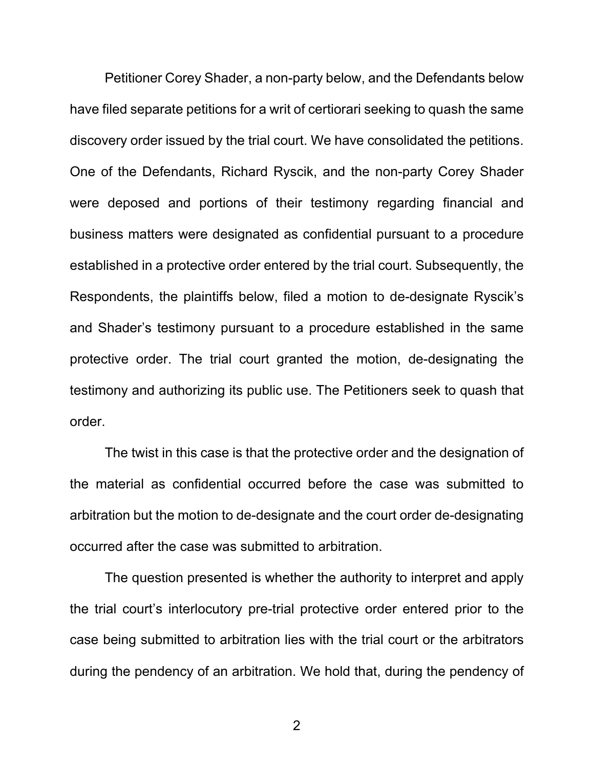Petitioner Corey Shader, a non-party below, and the Defendants below have filed separate petitions for a writ of certiorari seeking to quash the same discovery order issued by the trial court. We have consolidated the petitions. One of the Defendants, Richard Ryscik, and the non-party Corey Shader were deposed and portions of their testimony regarding financial and business matters were designated as confidential pursuant to a procedure established in a protective order entered by the trial court. Subsequently, the Respondents, the plaintiffs below, filed a motion to de-designate Ryscik's and Shader's testimony pursuant to a procedure established in the same protective order. The trial court granted the motion, de-designating the testimony and authorizing its public use. The Petitioners seek to quash that order.

The twist in this case is that the protective order and the designation of the material as confidential occurred before the case was submitted to arbitration but the motion to de-designate and the court order de-designating occurred after the case was submitted to arbitration.

The question presented is whether the authority to interpret and apply the trial court's interlocutory pre-trial protective order entered prior to the case being submitted to arbitration lies with the trial court or the arbitrators during the pendency of an arbitration. We hold that, during the pendency of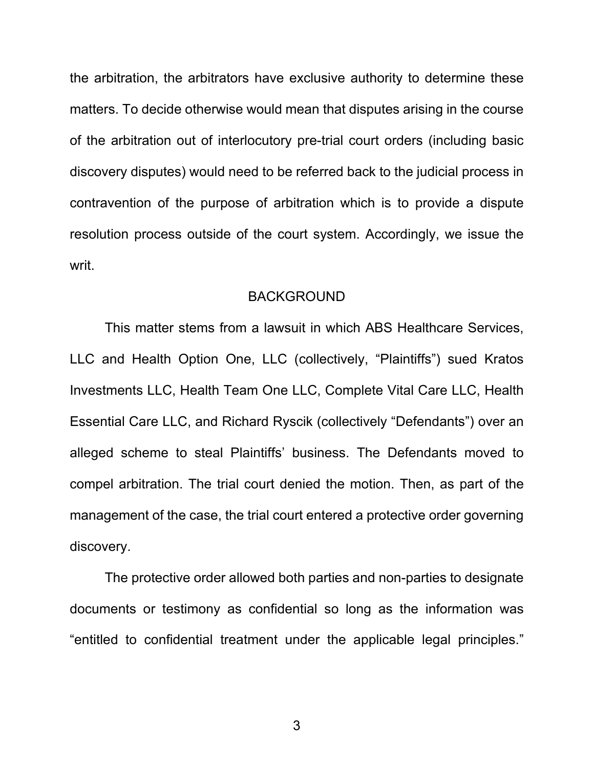the arbitration, the arbitrators have exclusive authority to determine these matters. To decide otherwise would mean that disputes arising in the course of the arbitration out of interlocutory pre-trial court orders (including basic discovery disputes) would need to be referred back to the judicial process in contravention of the purpose of arbitration which is to provide a dispute resolution process outside of the court system. Accordingly, we issue the writ.

#### BACKGROUND

This matter stems from a lawsuit in which ABS Healthcare Services, LLC and Health Option One, LLC (collectively, "Plaintiffs") sued Kratos Investments LLC, Health Team One LLC, Complete Vital Care LLC, Health Essential Care LLC, and Richard Ryscik (collectively "Defendants") over an alleged scheme to steal Plaintiffs' business. The Defendants moved to compel arbitration. The trial court denied the motion. Then, as part of the management of the case, the trial court entered a protective order governing discovery.

The protective order allowed both parties and non-parties to designate documents or testimony as confidential so long as the information was "entitled to confidential treatment under the applicable legal principles."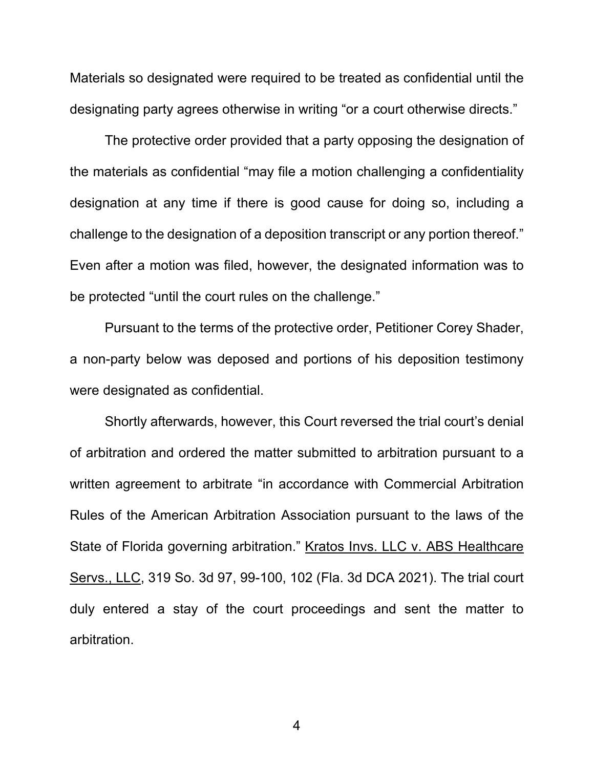Materials so designated were required to be treated as confidential until the designating party agrees otherwise in writing "or a court otherwise directs."

The protective order provided that a party opposing the designation of the materials as confidential "may file a motion challenging a confidentiality designation at any time if there is good cause for doing so, including a challenge to the designation of a deposition transcript or any portion thereof." Even after a motion was filed, however, the designated information was to be protected "until the court rules on the challenge."

Pursuant to the terms of the protective order, Petitioner Corey Shader, a non-party below was deposed and portions of his deposition testimony were designated as confidential.

Shortly afterwards, however, this Court reversed the trial court's denial of arbitration and ordered the matter submitted to arbitration pursuant to a written agreement to arbitrate "in accordance with Commercial Arbitration Rules of the American Arbitration Association pursuant to the laws of the State of Florida governing arbitration." Kratos Invs. LLC v. ABS Healthcare Servs., LLC, 319 So. 3d 97, 99-100, 102 (Fla. 3d DCA 2021). The trial court duly entered a stay of the court proceedings and sent the matter to arbitration.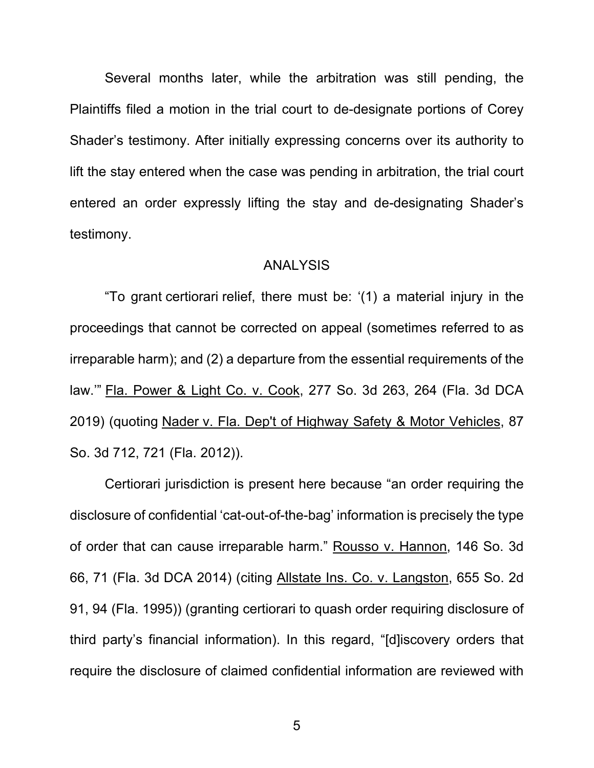Several months later, while the arbitration was still pending, the Plaintiffs filed a motion in the trial court to de-designate portions of Corey Shader's testimony. After initially expressing concerns over its authority to lift the stay entered when the case was pending in arbitration, the trial court entered an order expressly lifting the stay and de-designating Shader's testimony.

#### ANALYSIS

"To grant certiorari relief, there must be: '(1) a material injury in the proceedings that cannot be corrected on appeal (sometimes referred to as irreparable harm); and (2) a departure from the essential requirements of the law.'" Fla. Power & Light Co. v. Cook, 277 So. 3d 263, 264 (Fla. 3d DCA 2019) (quoting Nader v. Fla. Dep't of Highway Safety & Motor Vehicles, 87 So. 3d 712, 721 (Fla. 2012)).

Certiorari jurisdiction is present here because "an order requiring the disclosure of confidential 'cat-out-of-the-bag' information is precisely the type of order that can cause irreparable harm." Rousso v. Hannon, 146 So. 3d 66, 71 (Fla. 3d DCA 2014) (citing Allstate Ins. Co. v. Langston, 655 So. 2d 91, 94 (Fla. 1995)) (granting certiorari to quash order requiring disclosure of third party's financial information). In this regard, "[d]iscovery orders that require the disclosure of claimed confidential information are reviewed with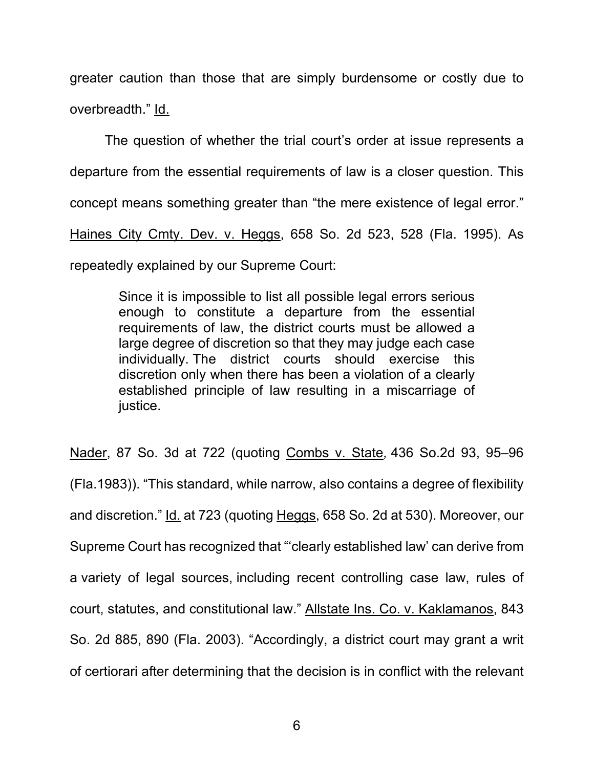greater caution than those that are simply burdensome or costly due to overbreadth." Id.

The question of whether the trial court's order at issue represents a departure from the essential requirements of law is a closer question. This concept means something greater than "the mere existence of legal error." Haines City Cmty. Dev. v. Heggs, 658 So. 2d 523, 528 (Fla. 1995). As repeatedly explained by our Supreme Court:

> Since it is impossible to list all possible legal errors serious enough to constitute a departure from the essential requirements of law, the district courts must be allowed a large degree of discretion so that they may judge each case individually. The district courts should exercise this discretion only when there has been a violation of a clearly established principle of law resulting in a miscarriage of justice.

Nader, 87 So. 3d at 722 (quoting Combs v. State*,* 436 So.2d 93, 95–96 (Fla.1983)). "This standard, while narrow, also contains a degree of flexibility and discretion." Id. at 723 (quoting Heggs, 658 So. 2d at 530). Moreover, our Supreme Court has recognized that "'clearly established law' can derive from a variety of legal sources, including recent controlling case law, rules of court, statutes, and constitutional law." Allstate Ins. Co. v. Kaklamanos, 843 So. 2d 885, 890 (Fla. 2003). "Accordingly, a district court may grant a writ of certiorari after determining that the decision is in conflict with the relevant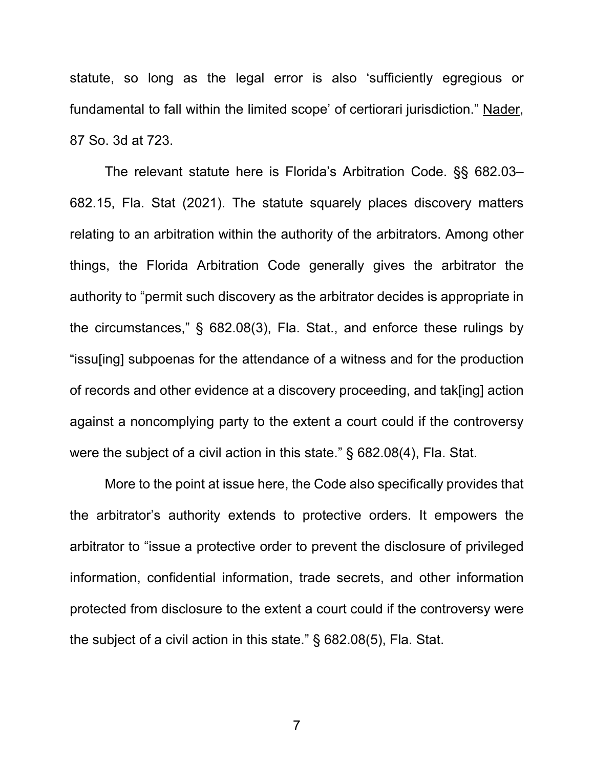statute, so long as the legal error is also 'sufficiently egregious or fundamental to fall within the limited scope' of certiorari jurisdiction." Nader, 87 So. 3d at 723.

The relevant statute here is Florida's Arbitration Code. §§ 682.03– 682.15, Fla. Stat (2021). The statute squarely places discovery matters relating to an arbitration within the authority of the arbitrators. Among other things, the Florida Arbitration Code generally gives the arbitrator the authority to "permit such discovery as the arbitrator decides is appropriate in the circumstances," § 682.08(3), Fla. Stat., and enforce these rulings by "issu[ing] subpoenas for the attendance of a witness and for the production of records and other evidence at a discovery proceeding, and tak[ing] action against a noncomplying party to the extent a court could if the controversy were the subject of a civil action in this state." § 682.08(4), Fla. Stat.

More to the point at issue here, the Code also specifically provides that the arbitrator's authority extends to protective orders. It empowers the arbitrator to "issue a protective order to prevent the disclosure of privileged information, confidential information, trade secrets, and other information protected from disclosure to the extent a court could if the controversy were the subject of a civil action in this state." § 682.08(5), Fla. Stat.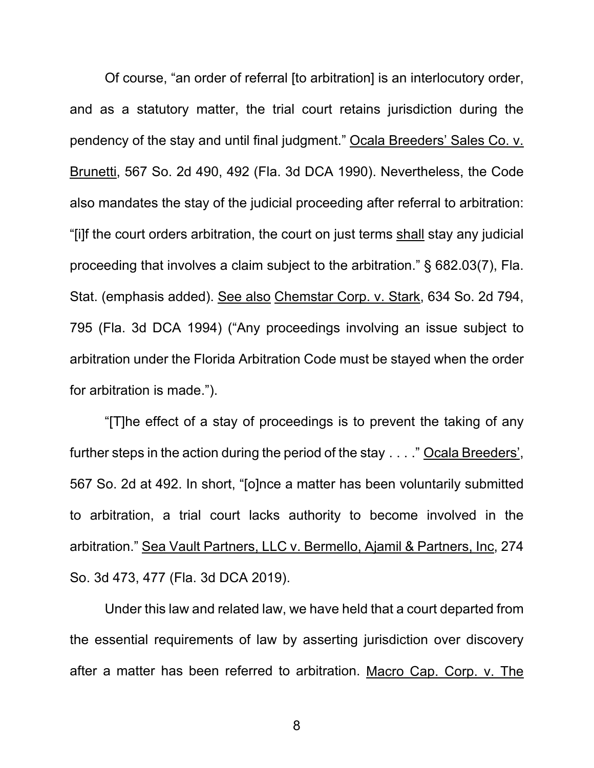Of course, "an order of referral [to arbitration] is an interlocutory order, and as a statutory matter, the trial court retains jurisdiction during the pendency of the stay and until final judgment." Ocala Breeders' Sales Co. v. Brunetti, 567 So. 2d 490, 492 (Fla. 3d DCA 1990). Nevertheless, the Code also mandates the stay of the judicial proceeding after referral to arbitration: "[i]f the court orders arbitration, the court on just terms shall stay any judicial proceeding that involves a claim subject to the arbitration." § 682.03(7), Fla. Stat. (emphasis added). See also Chemstar Corp. v. Stark, 634 So. 2d 794, 795 (Fla. 3d DCA 1994) ("Any proceedings involving an issue subject to arbitration under the Florida Arbitration Code must be stayed when the order for arbitration is made.").

"[T]he effect of a stay of proceedings is to prevent the taking of any further steps in the action during the period of the stay . . . ." Ocala Breeders', 567 So. 2d at 492. In short, "[o]nce a matter has been voluntarily submitted to arbitration, a trial court lacks authority to become involved in the arbitration." Sea Vault Partners, LLC v. Bermello, Ajamil & Partners, Inc, 274 So. 3d 473, 477 (Fla. 3d DCA 2019).

Under this law and related law, we have held that a court departed from the essential requirements of law by asserting jurisdiction over discovery after a matter has been referred to arbitration. Macro Cap. Corp. v. The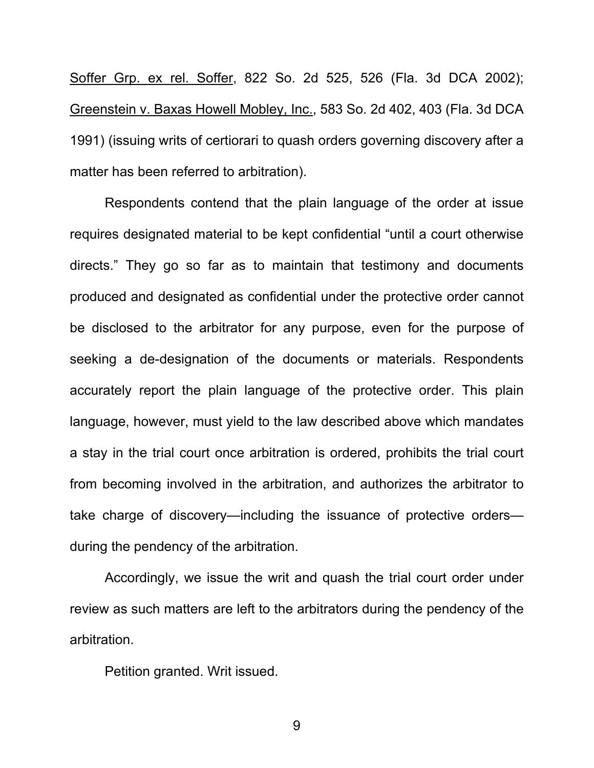Soffer Grp. ex rel. Soffer, 822 So. 2d 525, 526 (Fla. 3d DCA 2002); Greenstein v. Baxas Howell Mobley, Inc., 583 So. 2d 402, 403 (Fla. 3d DCA 1991) (issuing writs of certiorari to quash orders governing discovery after a matter has been referred to arbitration).

Respondents contend that the plain language of the order at issue requires designated material to be kept confidential "until a court otherwise directs." They go so far as to maintain that testimony and documents produced and designated as confidential under the protective order cannot be disclosed to the arbitrator for any purpose, even for the purpose of seeking a de-designation of the documents or materials. Respondents accurately report the plain language of the protective order. This plain language, however, must yield to the law described above which mandates a stay in the trial court once arbitration is ordered, prohibits the trial court from becoming involved in the arbitration, and authorizes the arbitrator to take charge of discovery—including the issuance of protective orders during the pendency of the arbitration.

Accordingly, we issue the writ and quash the trial court order under review as such matters are left to the arbitrators during the pendency of the arbitration.

Petition granted. Writ issued.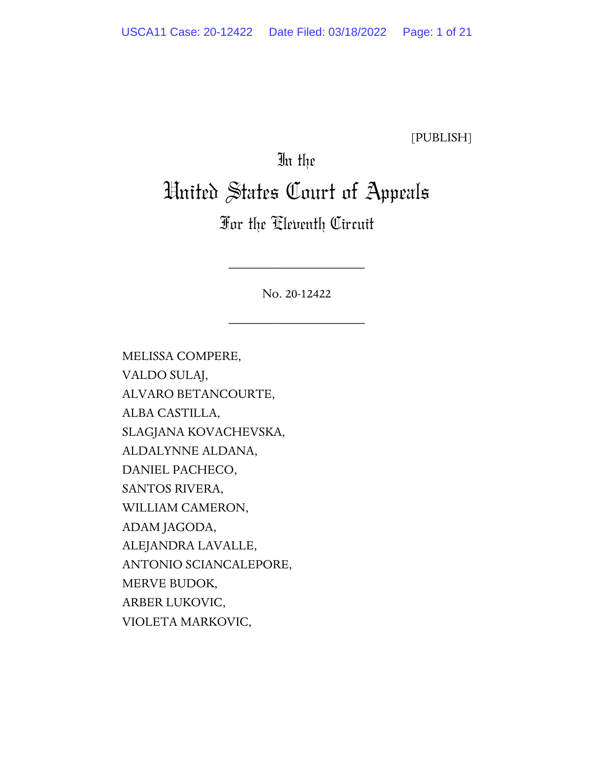[PUBLISH]

### In the

# United States Court of Appeals

### For the Eleventh Circuit

No. 20-12422

\_\_\_\_\_\_\_\_\_\_\_\_\_\_\_\_\_\_\_\_

\_\_\_\_\_\_\_\_\_\_\_\_\_\_\_\_\_\_\_\_

MELISSA COMPERE, VALDO SULAJ, ALVARO BETANCOURTE, ALBA CASTILLA, SLAGJANA KOVACHEVSKA, ALDALYNNE ALDANA, DANIEL PACHECO, SANTOS RIVERA, WILLIAM CAMERON, ADAM JAGODA, ALEJANDRA LAVALLE, ANTONIO SCIANCALEPORE, MERVE BUDOK, ARBER LUKOVIC, VIOLETA MARKOVIC,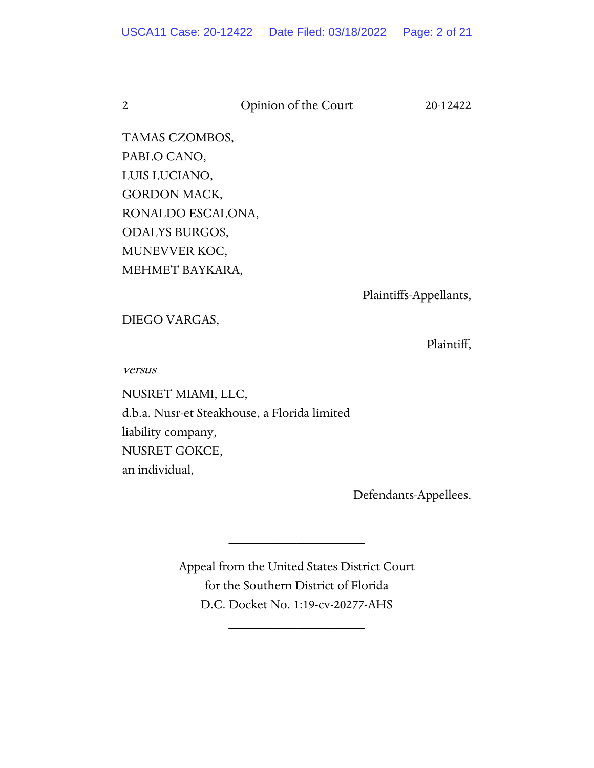2 Opinion of the Court 20-12422

TAMAS CZOMBOS, PABLO CANO, LUIS LUCIANO, GORDON MACK, RONALDO ESCALONA, ODALYS BURGOS, MUNEVVER KOC, MEHMET BAYKARA,

Plaintiffs-Appellants,

DIEGO VARGAS,

Plaintiff,

versus

NUSRET MIAMI, LLC, d.b.a. Nusr-et Steakhouse, a Florida limited liability company, NUSRET GOKCE, an individual,

Defendants-Appellees.

Appeal from the United States District Court for the Southern District of Florida D.C. Docket No. 1:19-cv-20277-AHS

\_\_\_\_\_\_\_\_\_\_\_\_\_\_\_\_\_\_\_\_

\_\_\_\_\_\_\_\_\_\_\_\_\_\_\_\_\_\_\_\_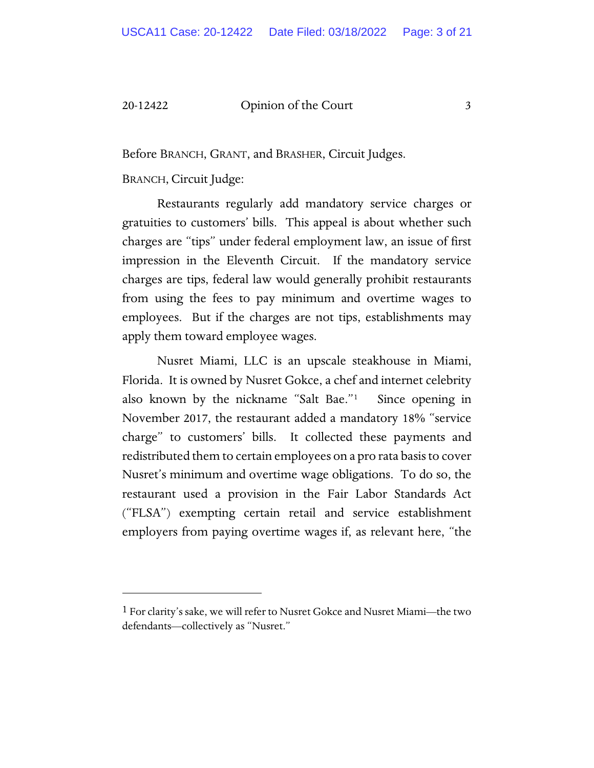#### 20-12422 Qpinion of the Court 3

Before BRANCH, GRANT, and BRASHER, Circuit Judges.

BRANCH, Circuit Judge:

Restaurants regularly add mandatory service charges or gratuities to customers' bills. This appeal is about whether such charges are "tips" under federal employment law, an issue of first impression in the Eleventh Circuit. If the mandatory service charges are tips, federal law would generally prohibit restaurants from using the fees to pay minimum and overtime wages to employees. But if the charges are not tips, establishments may apply them toward employee wages.

Nusret Miami, LLC is an upscale steakhouse in Miami, Florida. It is owned by Nusret Gokce, a chef and internet celebrity also known by the nickname "Salt Bae."[1](#page-38-0) Since opening in November 2017, the restaurant added a mandatory 18% "service charge" to customers' bills. It collected these payments and redistributed them to certain employees on a pro rata basis to cover Nusret's minimum and overtime wage obligations. To do so, the restaurant used a provision in the Fair Labor Standards Act ("FLSA") exempting certain retail and service establishment employers from paying overtime wages if, as relevant here, "the

<span id="page-38-0"></span><sup>1</sup> For clarity's sake, we will refer to Nusret Gokce and Nusret Miami—the two defendants—collectively as "Nusret."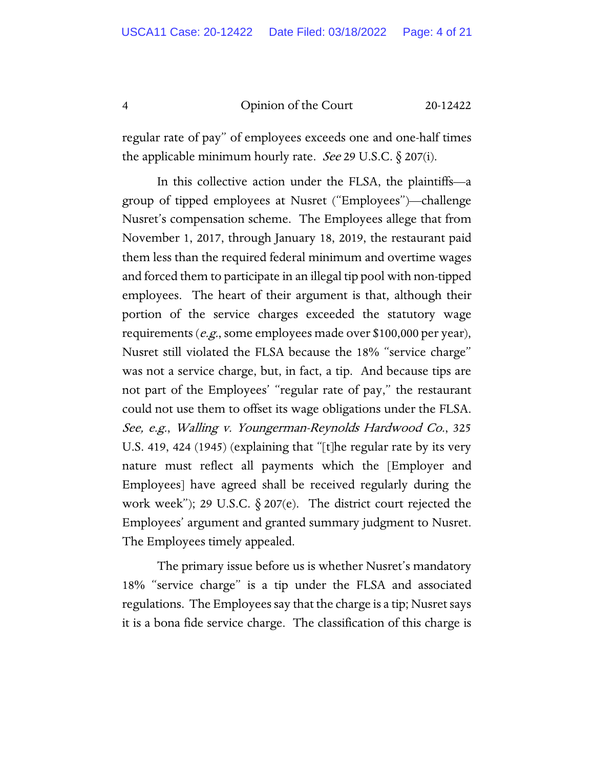4 Opinion of the Court 20-12422

regular rate of pay" of employees exceeds one and one-half times the applicable minimum hourly rate. *See* 29 U.S.C.  $\S$  207(i).

In this collective action under the FLSA, the plaintiffs—a group of tipped employees at Nusret ("Employees")—challenge Nusret's compensation scheme. The Employees allege that from November 1, 2017, through January 18, 2019, the restaurant paid them less than the required federal minimum and overtime wages and forced them to participate in an illegal tip pool with non-tipped employees. The heart of their argument is that, although their portion of the service charges exceeded the statutory wage requirements (e.g., some employees made over \$100,000 per year), Nusret still violated the FLSA because the 18% "service charge" was not a service charge, but, in fact, a tip. And because tips are not part of the Employees' "regular rate of pay," the restaurant could not use them to offset its wage obligations under the FLSA. See, e.g., Walling v. Youngerman-Reynolds Hardwood Co., 325 U.S. 419, 424 (1945) (explaining that "[t]he regular rate by its very nature must reflect all payments which the [Employer and Employees] have agreed shall be received regularly during the work week"); 29 U.S.C.  $\S$  207(e). The district court rejected the Employees' argument and granted summary judgment to Nusret. The Employees timely appealed.

The primary issue before us is whether Nusret's mandatory 18% "service charge" is a tip under the FLSA and associated regulations. The Employees say that the charge is a tip; Nusret says it is a bona fide service charge. The classification of this charge is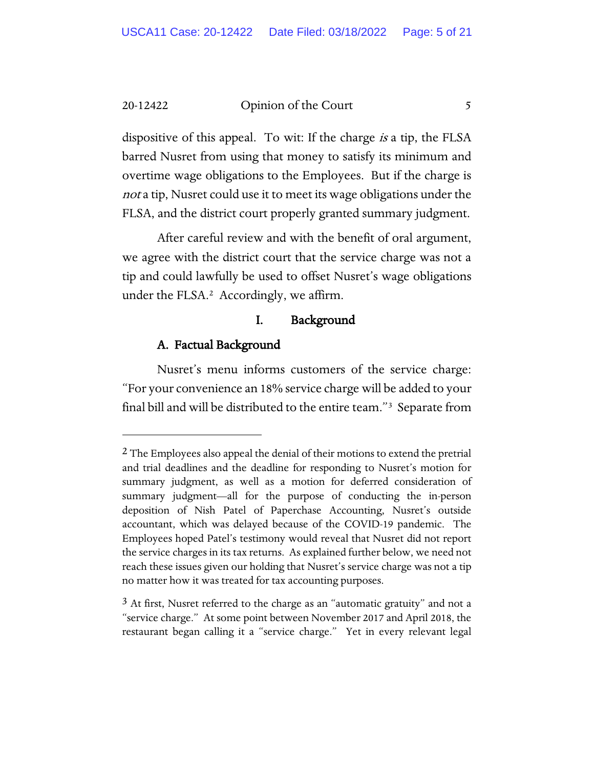20-12422 Opinion of the Court 5

dispositive of this appeal. To wit: If the charge *is* a tip, the FLSA barred Nusret from using that money to satisfy its minimum and overtime wage obligations to the Employees. But if the charge is not a tip, Nusret could use it to meet its wage obligations under the FLSA, and the district court properly granted summary judgment.

After careful review and with the benefit of oral argument, we agree with the district court that the service charge was not a tip and could lawfully be used to offset Nusret's wage obligations under the FLSA.[2](#page-40-0) Accordingly, we affirm.

#### I. Background

#### A. Factual Background

Nusret's menu informs customers of the service charge: "For your convenience an 18% service charge will be added to your final bill and will be distributed to the entire team."[3](#page-40-1) Separate from

<span id="page-40-0"></span> $2$  The Employees also appeal the denial of their motions to extend the pretrial and trial deadlines and the deadline for responding to Nusret's motion for summary judgment, as well as a motion for deferred consideration of summary judgment—all for the purpose of conducting the in-person deposition of Nish Patel of Paperchase Accounting, Nusret's outside accountant, which was delayed because of the COVID-19 pandemic. The Employees hoped Patel's testimony would reveal that Nusret did not report the service charges in its tax returns. As explained further below, we need not reach these issues given our holding that Nusret's service charge was not a tip no matter how it was treated for tax accounting purposes.

<span id="page-40-1"></span> $3$  At first, Nusret referred to the charge as an "automatic gratuity" and not a "service charge." At some point between November 2017 and April 2018, the restaurant began calling it a "service charge." Yet in every relevant legal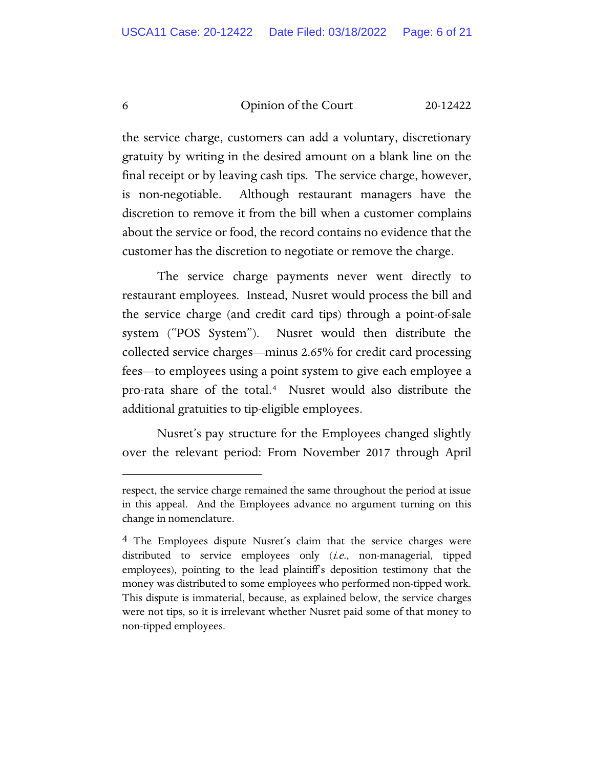6 Opinion of the Court 20-12422

the service charge, customers can add a voluntary, discretionary gratuity by writing in the desired amount on a blank line on the final receipt or by leaving cash tips. The service charge, however, is non-negotiable. Although restaurant managers have the discretion to remove it from the bill when a customer complains about the service or food, the record contains no evidence that the customer has the discretion to negotiate or remove the charge.

The service charge payments never went directly to restaurant employees. Instead, Nusret would process the bill and the service charge (and credit card tips) through a point-of-sale system ("POS System"). Nusret would then distribute the collected service charges—minus 2.65% for credit card processing fees—to employees using a point system to give each employee a pro-rata share of the total.[4](#page-41-0) Nusret would also distribute the additional gratuities to tip-eligible employees.

Nusret's pay structure for the Employees changed slightly over the relevant period: From November 2017 through April

respect, the service charge remained the same throughout the period at issue in this appeal. And the Employees advance no argument turning on this change in nomenclature.

<span id="page-41-0"></span><sup>4</sup> The Employees dispute Nusret's claim that the service charges were distributed to service employees only (i.e., non-managerial, tipped employees), pointing to the lead plaintiff's deposition testimony that the money was distributed to some employees who performed non-tipped work. This dispute is immaterial, because, as explained below, the service charges were not tips, so it is irrelevant whether Nusret paid some of that money to non-tipped employees.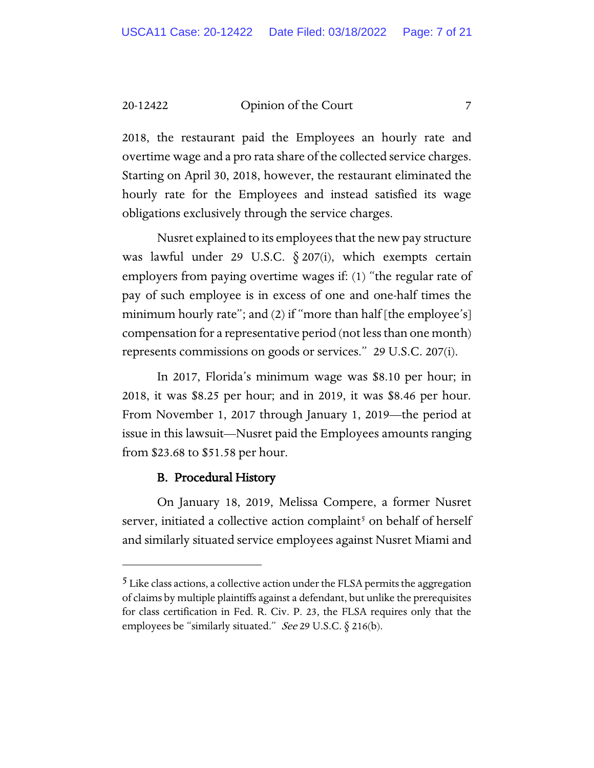20-12422 Opinion of the Court 7

2018, the restaurant paid the Employees an hourly rate and overtime wage and a pro rata share of the collected service charges. Starting on April 30, 2018, however, the restaurant eliminated the hourly rate for the Employees and instead satisfied its wage obligations exclusively through the service charges.

Nusret explained to its employees that the new pay structure was lawful under 29 U.S.C.  $\S 207(i)$ , which exempts certain employers from paying overtime wages if: (1) "the regular rate of pay of such employee is in excess of one and one-half times the minimum hourly rate"; and (2) if "more than half [the employee's] compensation for a representative period (not less than one month) represents commissions on goods or services." 29 U.S.C. 207(i).

In 2017, Florida's minimum wage was \$8.10 per hour; in 2018, it was \$8.25 per hour; and in 2019, it was \$8.46 per hour. From November 1, 2017 through January 1, 2019—the period at issue in this lawsuit—Nusret paid the Employees amounts ranging from \$23.68 to \$51.58 per hour.

#### B. Procedural History

On January 18, 2019, Melissa Compere, a former Nusret server, initiated a collective action complaint<sup>[5](#page-42-0)</sup> on behalf of herself and similarly situated service employees against Nusret Miami and

<span id="page-42-0"></span><sup>5</sup> Like class actions, a collective action under the FLSA permits the aggregation of claims by multiple plaintiffs against a defendant, but unlike the prerequisites for class certification in Fed. R. Civ. P. 23, the FLSA requires only that the employees be "similarly situated." See 29 U.S.C.  $\S$  216(b).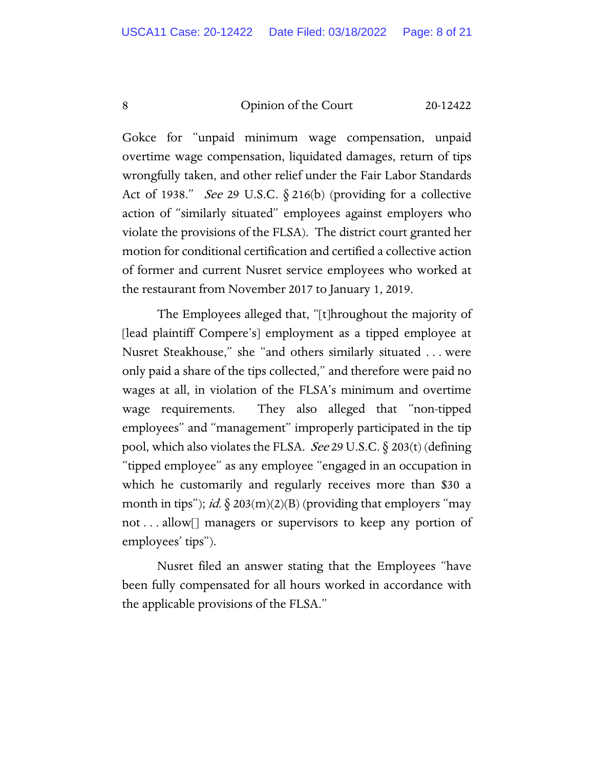#### 8 Opinion of the Court 20-12422

Gokce for "unpaid minimum wage compensation, unpaid overtime wage compensation, liquidated damages, return of tips wrongfully taken, and other relief under the Fair Labor Standards Act of 1938." See 29 U.S.C. § 216(b) (providing for a collective action of "similarly situated" employees against employers who violate the provisions of the FLSA). The district court granted her motion for conditional certification and certified a collective action of former and current Nusret service employees who worked at the restaurant from November 2017 to January 1, 2019.

The Employees alleged that, "[t]hroughout the majority of [lead plaintiff Compere's] employment as a tipped employee at Nusret Steakhouse," she "and others similarly situated . . . were only paid a share of the tips collected," and therefore were paid no wages at all, in violation of the FLSA's minimum and overtime wage requirements. They also alleged that "non-tipped employees" and "management" improperly participated in the tip pool, which also violates the FLSA. *See* 29 U.S.C.  $\S$  203(t) (defining "tipped employee" as any employee "engaged in an occupation in which he customarily and regularly receives more than \$30 a month in tips"); *id.*  $\S$  203(m)(2)(B) (providing that employers "may not . . . allow[] managers or supervisors to keep any portion of employees' tips").

Nusret filed an answer stating that the Employees "have been fully compensated for all hours worked in accordance with the applicable provisions of the FLSA."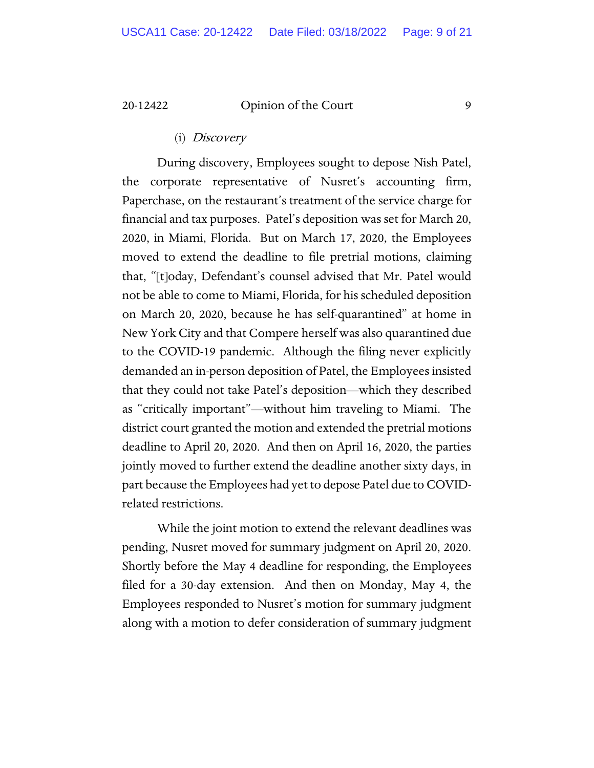#### 20-12422 Opinion of the Court 9

#### (i) Discovery

During discovery, Employees sought to depose Nish Patel, the corporate representative of Nusret's accounting firm, Paperchase, on the restaurant's treatment of the service charge for financial and tax purposes. Patel's deposition was set for March 20, 2020, in Miami, Florida. But on March 17, 2020, the Employees moved to extend the deadline to file pretrial motions, claiming that, "[t]oday, Defendant's counsel advised that Mr. Patel would not be able to come to Miami, Florida, for his scheduled deposition on March 20, 2020, because he has self-quarantined" at home in New York City and that Compere herself was also quarantined due to the COVID-19 pandemic. Although the filing never explicitly demanded an in-person deposition of Patel, the Employees insisted that they could not take Patel's deposition—which they described as "critically important"—without him traveling to Miami. The district court granted the motion and extended the pretrial motions deadline to April 20, 2020. And then on April 16, 2020, the parties jointly moved to further extend the deadline another sixty days, in part because the Employees had yet to depose Patel due to COVIDrelated restrictions.

While the joint motion to extend the relevant deadlines was pending, Nusret moved for summary judgment on April 20, 2020. Shortly before the May 4 deadline for responding, the Employees filed for a 30-day extension. And then on Monday, May 4, the Employees responded to Nusret's motion for summary judgment along with a motion to defer consideration of summary judgment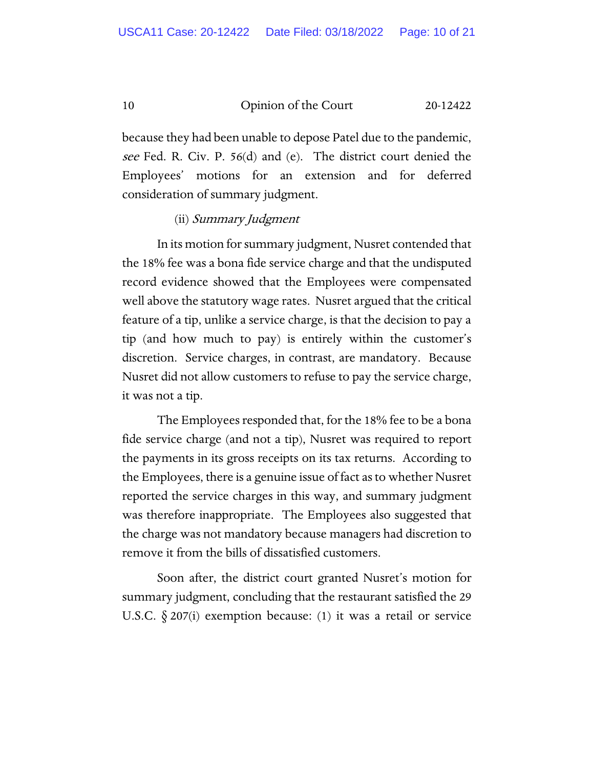10 Opinion of the Court 20-12422

because they had been unable to depose Patel due to the pandemic, see Fed. R. Civ. P. 56(d) and (e). The district court denied the Employees' motions for an extension and for deferred consideration of summary judgment.

#### (ii) Summary Judgment

In its motion for summary judgment, Nusret contended that the 18% fee was a bona fide service charge and that the undisputed record evidence showed that the Employees were compensated well above the statutory wage rates. Nusret argued that the critical feature of a tip, unlike a service charge, is that the decision to pay a tip (and how much to pay) is entirely within the customer's discretion. Service charges, in contrast, are mandatory. Because Nusret did not allow customers to refuse to pay the service charge, it was not a tip.

The Employees responded that, for the 18% fee to be a bona fide service charge (and not a tip), Nusret was required to report the payments in its gross receipts on its tax returns. According to the Employees, there is a genuine issue of fact as to whether Nusret reported the service charges in this way, and summary judgment was therefore inappropriate. The Employees also suggested that the charge was not mandatory because managers had discretion to remove it from the bills of dissatisfied customers.

Soon after, the district court granted Nusret's motion for summary judgment, concluding that the restaurant satisfied the 29 U.S.C.  $\S 207(i)$  exemption because: (1) it was a retail or service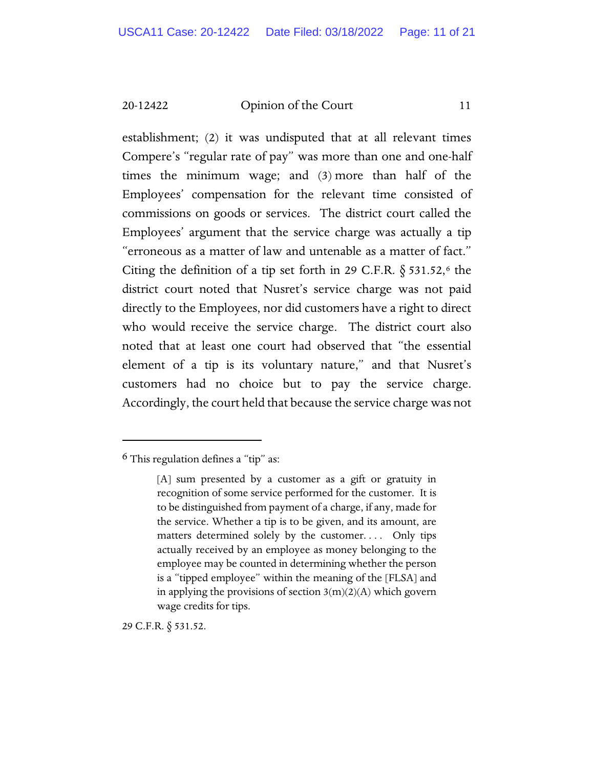20-12422 Opinion of the Court 11

establishment; (2) it was undisputed that at all relevant times Compere's "regular rate of pay" was more than one and one-half times the minimum wage; and (3) more than half of the Employees' compensation for the relevant time consisted of commissions on goods or services. The district court called the Employees' argument that the service charge was actually a tip "erroneous as a matter of law and untenable as a matter of fact." Citing the definition of a tip set forth in 29 C.F.R.  $\S$  531.52,<sup>[6](#page-46-0)</sup> the district court noted that Nusret's service charge was not paid directly to the Employees, nor did customers have a right to direct who would receive the service charge. The district court also noted that at least one court had observed that "the essential element of a tip is its voluntary nature," and that Nusret's customers had no choice but to pay the service charge. Accordingly, the court held that because the service charge was not

29 C.F.R. § 531.52.

<span id="page-46-0"></span> $6$  This regulation defines a "tip" as:

<sup>[</sup>A] sum presented by a customer as a gift or gratuity in recognition of some service performed for the customer. It is to be distinguished from payment of a charge, if any, made for the service. Whether a tip is to be given, and its amount, are matters determined solely by the customer.... Only tips actually received by an employee as money belonging to the employee may be counted in determining whether the person is a "tipped employee" within the meaning of the [FLSA] and in applying the provisions of section  $3(m)(2)(A)$  which govern wage credits for tips.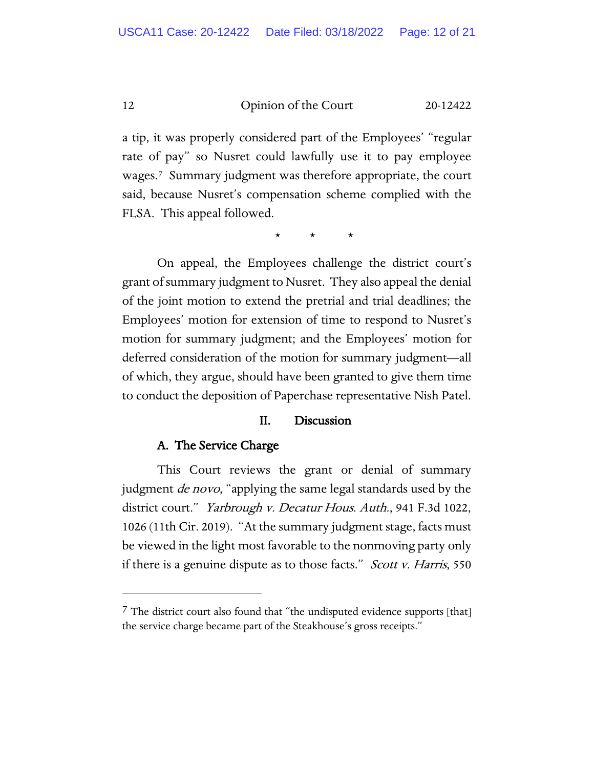12 Opinion of the Court 20-12422

a tip, it was properly considered part of the Employees' "regular rate of pay" so Nusret could lawfully use it to pay employee wages.[7](#page-47-0) Summary judgment was therefore appropriate, the court said, because Nusret's compensation scheme complied with the FLSA. This appeal followed.

\* \* \*

On appeal, the Employees challenge the district court's grant of summary judgment to Nusret. They also appeal the denial of the joint motion to extend the pretrial and trial deadlines; the Employees' motion for extension of time to respond to Nusret's motion for summary judgment; and the Employees' motion for deferred consideration of the motion for summary judgment—all of which, they argue, should have been granted to give them time to conduct the deposition of Paperchase representative Nish Patel.

#### II. Discussion

#### A. The Service Charge

This Court reviews the grant or denial of summary judgment *de novo*, "applying the same legal standards used by the district court." Yarbrough v. Decatur Hous. Auth., 941 F.3d 1022, 1026 (11th Cir. 2019). "At the summary judgment stage, facts must be viewed in the light most favorable to the nonmoving party only if there is a genuine dispute as to those facts." *Scott v. Harris*, 550

<span id="page-47-0"></span><sup>&</sup>lt;sup>7</sup> The district court also found that "the undisputed evidence supports [that] the service charge became part of the Steakhouse's gross receipts."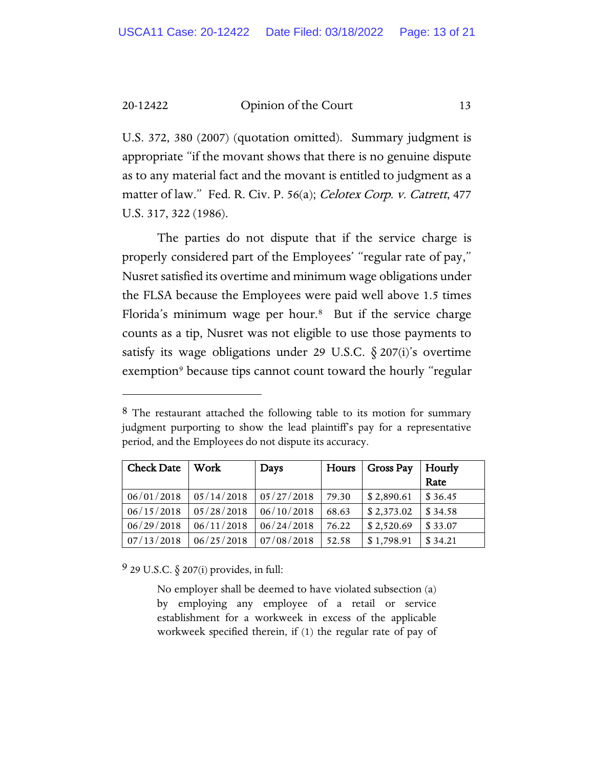20-12422 Opinion of the Court 13

U.S. 372, 380 (2007) (quotation omitted). Summary judgment is appropriate "if the movant shows that there is no genuine dispute as to any material fact and the movant is entitled to judgment as a matter of law." Fed. R. Civ. P. 56(a); Celotex Corp. v. Catrett, 477 U.S. 317, 322 (1986).

The parties do not dispute that if the service charge is properly considered part of the Employees' "regular rate of pay," Nusret satisfied its overtime and minimum wage obligations under the FLSA because the Employees were paid well above 1.5 times Florida's minimum wage per hour.<sup>[8](#page-48-0)</sup> But if the service charge counts as a tip, Nusret was not eligible to use those payments to satisfy its wage obligations under 29 U.S.C.  $\S 207(i)$ 's overtime exemption<sup>[9](#page-48-1)</sup> because tips cannot count toward the hourly "regular

<span id="page-48-0"></span><sup>&</sup>lt;sup>8</sup> The restaurant attached the following table to its motion for summary judgment purporting to show the lead plaintiff's pay for a representative period, and the Employees do not dispute its accuracy.

| <b>Check Date</b> | Work       | Days       | Hours | <b>Gross Pay</b>          | Hourly  |
|-------------------|------------|------------|-------|---------------------------|---------|
|                   |            |            |       |                           | Rate    |
| 06/01/2018        | 05/14/2018 | 05/27/2018 | 79.30 | \$2,890.61                | \$36.45 |
| 06/15/2018        | 05/28/2018 | 06/10/2018 | 68.63 | \$2,373.02                | \$34.58 |
| 06/29/2018        | 06/11/2018 | 06/24/2018 | 76.22 | $\frac{1}{2}$ \$ 2,520.69 | \$33.07 |
| 07/13/2018        | 06/25/2018 | 07/08/2018 | 52.58 | \$1,798.91                | \$34.21 |

<span id="page-48-1"></span>9 29 U.S.C. § 207(i) provides, in full:

No employer shall be deemed to have violated subsection (a) by employing any employee of a retail or service establishment for a workweek in excess of the applicable workweek specified therein, if (1) the regular rate of pay of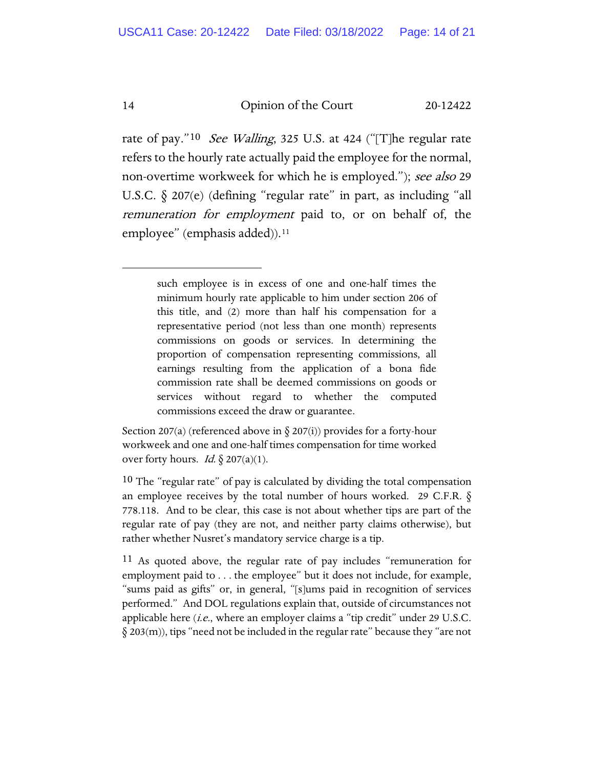#### 14 Opinion of the Court 20-12422

rate of pay."[10](#page-49-0) See Walling, 325 U.S. at 424 ("The regular rate refers to the hourly rate actually paid the employee for the normal, non-overtime workweek for which he is employed."); see also 29 U.S.C. § 207(e) (defining "regular rate" in part, as including "all remuneration for employment paid to, or on behalf of, the employee" (emphasis added)).<sup>11</sup>

> such employee is in excess of one and one-half times the minimum hourly rate applicable to him under section 206 of this title, and (2) more than half his compensation for a representative period (not less than one month) represents commissions on goods or services. In determining the proportion of compensation representing commissions, all earnings resulting from the application of a bona fide commission rate shall be deemed commissions on goods or services without regard to whether the computed commissions exceed the draw or guarantee.

Section 207(a) (referenced above in  $\S$  207(i)) provides for a forty-hour workweek and one and one-half times compensation for time worked over forty hours. *Id.*  $\oint$  207(a)(1).

<span id="page-49-0"></span><sup>10</sup> The "regular rate" of pay is calculated by dividing the total compensation an employee receives by the total number of hours worked. 29 C.F.R. § 778.118. And to be clear, this case is not about whether tips are part of the regular rate of pay (they are not, and neither party claims otherwise), but rather whether Nusret's mandatory service charge is a tip.

<span id="page-49-1"></span><sup>11</sup> As quoted above, the regular rate of pay includes "remuneration for employment paid to . . . the employee" but it does not include, for example, "sums paid as gifts" or, in general, "[s]ums paid in recognition of services performed." And DOL regulations explain that, outside of circumstances not applicable here  $(i.e.,$  where an employer claims a "tip credit" under 29 U.S.C.  $\S 203(m)$ , tips "need not be included in the regular rate" because they "are not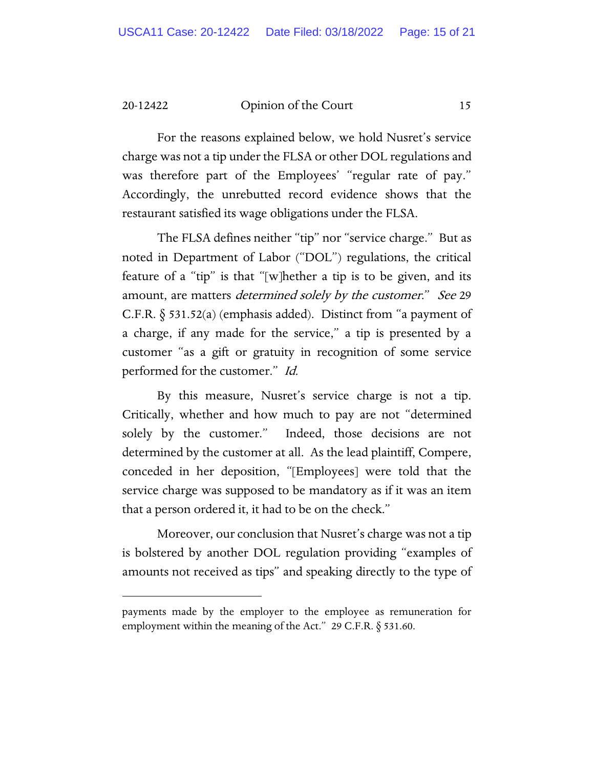20-12422 Opinion of the Court 15

For the reasons explained below, we hold Nusret's service charge was not a tip under the FLSA or other DOL regulations and was therefore part of the Employees' "regular rate of pay." Accordingly, the unrebutted record evidence shows that the restaurant satisfied its wage obligations under the FLSA.

The FLSA defines neither "tip" nor "service charge." But as noted in Department of Labor ("DOL") regulations, the critical feature of a "tip" is that "[w]hether a tip is to be given, and its amount, are matters *determined solely by the customer.*" See 29 C.F.R. § 531.52(a) (emphasis added). Distinct from "a payment of a charge, if any made for the service," a tip is presented by a customer "as a gift or gratuity in recognition of some service performed for the customer." Id.

By this measure, Nusret's service charge is not a tip. Critically, whether and how much to pay are not "determined solely by the customer." Indeed, those decisions are not determined by the customer at all. As the lead plaintiff, Compere, conceded in her deposition, "[Employees] were told that the service charge was supposed to be mandatory as if it was an item that a person ordered it, it had to be on the check."

Moreover, our conclusion that Nusret's charge was not a tip is bolstered by another DOL regulation providing "examples of amounts not received as tips" and speaking directly to the type of

payments made by the employer to the employee as remuneration for employment within the meaning of the Act." 29 C.F.R. § 531.60.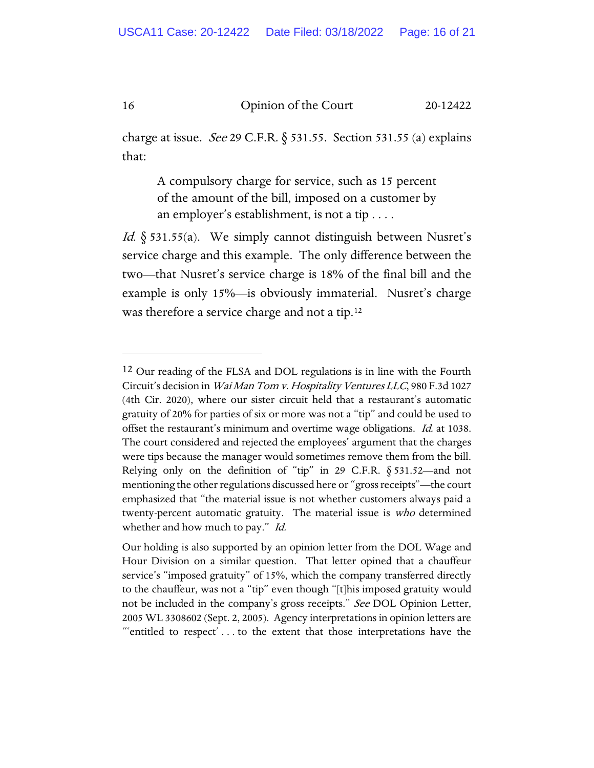16 Opinion of the Court 20-12422

charge at issue. *See* 29 C.F.R.  $\S$  531.55. Section 531.55 (a) explains that:

A compulsory charge for service, such as 15 percent of the amount of the bill, imposed on a customer by an employer's establishment, is not a tip . . . .

*Id.*  $\S$  531.55(a). We simply cannot distinguish between Nusret's service charge and this example. The only difference between the two—that Nusret's service charge is 18% of the final bill and the example is only 15%—is obviously immaterial. Nusret's charge was therefore a service charge and not a tip.<sup>[12](#page-51-0)</sup>

<span id="page-51-0"></span><sup>&</sup>lt;sup>12</sup> Our reading of the FLSA and DOL regulations is in line with the Fourth Circuit's decision in Wai Man Tom v. Hospitality Ventures LLC, 980 F.3d 1027 (4th Cir. 2020), where our sister circuit held that a restaurant's automatic gratuity of 20% for parties of six or more was not a "tip" and could be used to offset the restaurant's minimum and overtime wage obligations. *Id.* at 1038. The court considered and rejected the employees' argument that the charges were tips because the manager would sometimes remove them from the bill. Relying only on the definition of "tip" in 29 C.F.R.  $\S$  531.52—and not mentioning the other regulations discussed here or "gross receipts"—the court emphasized that "the material issue is not whether customers always paid a twenty-percent automatic gratuity. The material issue is who determined whether and how much to pay." Id.

Our holding is also supported by an opinion letter from the DOL Wage and Hour Division on a similar question. That letter opined that a chauffeur service's "imposed gratuity" of 15%, which the company transferred directly to the chauffeur, was not a "tip" even though "[t]his imposed gratuity would not be included in the company's gross receipts." See DOL Opinion Letter, 2005 WL 3308602 (Sept. 2, 2005). Agency interpretations in opinion letters are "'entitled to respect' . . . to the extent that those interpretations have the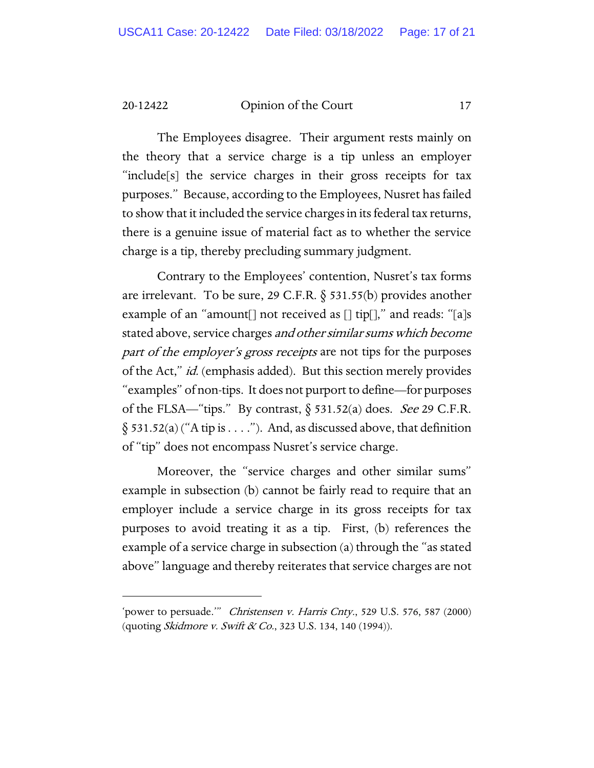20-12422 Opinion of the Court 17

The Employees disagree. Their argument rests mainly on the theory that a service charge is a tip unless an employer "include[s] the service charges in their gross receipts for tax purposes." Because, according to the Employees, Nusret has failed to show that it included the service charges in its federal tax returns, there is a genuine issue of material fact as to whether the service charge is a tip, thereby precluding summary judgment.

Contrary to the Employees' contention, Nusret's tax forms are irrelevant. To be sure, 29 C.F.R.  $\S$  531.55(b) provides another example of an "amount not received as  $\lceil \frac{1}{2} \rceil$  and reads: "[a]s stated above, service charges and other similar sums which become part of the employer's gross receipts are not tips for the purposes of the Act," id. (emphasis added). But this section merely provides "examples" of non-tips. It does not purport to define—for purposes of the FLSA—"tips." By contrast,  $\S$  531.52(a) does. See 29 C.F.R.  $\S$  531.52(a) ("A tip is . . . ."). And, as discussed above, that definition of "tip" does not encompass Nusret's service charge.

Moreover, the "service charges and other similar sums" example in subsection (b) cannot be fairly read to require that an employer include a service charge in its gross receipts for tax purposes to avoid treating it as a tip. First, (b) references the example of a service charge in subsection (a) through the "as stated above" language and thereby reiterates that service charges are not

<sup>&#</sup>x27;power to persuade." Christensen v. Harris Cnty., 529 U.S. 576, 587 (2000) (quoting *Skidmore v. Swift & Co.*, 323 U.S. 134, 140 (1994)).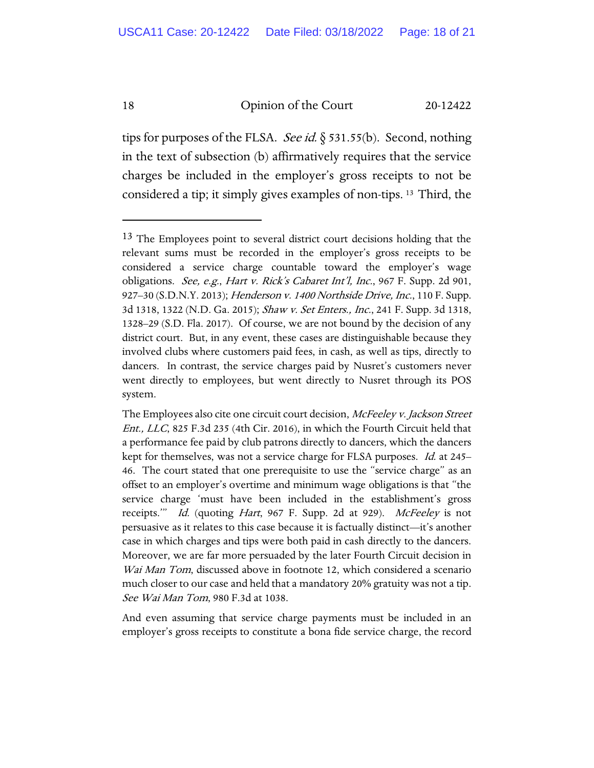#### 18 Opinion of the Court 20-12422

tips for purposes of the FLSA. *See id.*  $\S$  531.55(b). Second, nothing in the text of subsection (b) affirmatively requires that the service charges be included in the employer's gross receipts to not be considered a tip; it simply gives examples of non-tips. [13](#page-53-0) Third, the

And even assuming that service charge payments must be included in an employer's gross receipts to constitute a bona fide service charge, the record

<span id="page-53-0"></span><sup>&</sup>lt;sup>13</sup> The Employees point to several district court decisions holding that the relevant sums must be recorded in the employer's gross receipts to be considered a service charge countable toward the employer's wage obligations. See, e.g., Hart v. Rick's Cabaret Int'l, Inc., 967 F. Supp. 2d 901, 927–30 (S.D.N.Y. 2013); *Henderson v. 1400 Northside Drive, Inc.*, 110 F. Supp. 3d 1318, 1322 (N.D. Ga. 2015); Shaw v. Set Enters., Inc., 241 F. Supp. 3d 1318, 1328–29 (S.D. Fla. 2017). Of course, we are not bound by the decision of any district court. But, in any event, these cases are distinguishable because they involved clubs where customers paid fees, in cash, as well as tips, directly to dancers. In contrast, the service charges paid by Nusret's customers never went directly to employees, but went directly to Nusret through its POS system.

The Employees also cite one circuit court decision, McFeeley v. Jackson Street Ent., LLC, 825 F.3d 235 (4th Cir. 2016), in which the Fourth Circuit held that a performance fee paid by club patrons directly to dancers, which the dancers kept for themselves, was not a service charge for FLSA purposes. Id. at 245– 46. The court stated that one prerequisite to use the "service charge" as an offset to an employer's overtime and minimum wage obligations is that "the service charge 'must have been included in the establishment's gross receipts." Id. (quoting Hart, 967 F. Supp. 2d at 929). McFeeley is not persuasive as it relates to this case because it is factually distinct—it's another case in which charges and tips were both paid in cash directly to the dancers. Moreover, we are far more persuaded by the later Fourth Circuit decision in Wai Man Tom, discussed above in footnote 12, which considered a scenario much closer to our case and held that a mandatory 20% gratuity was not a tip. See Wai Man Tom, 980 F.3d at 1038.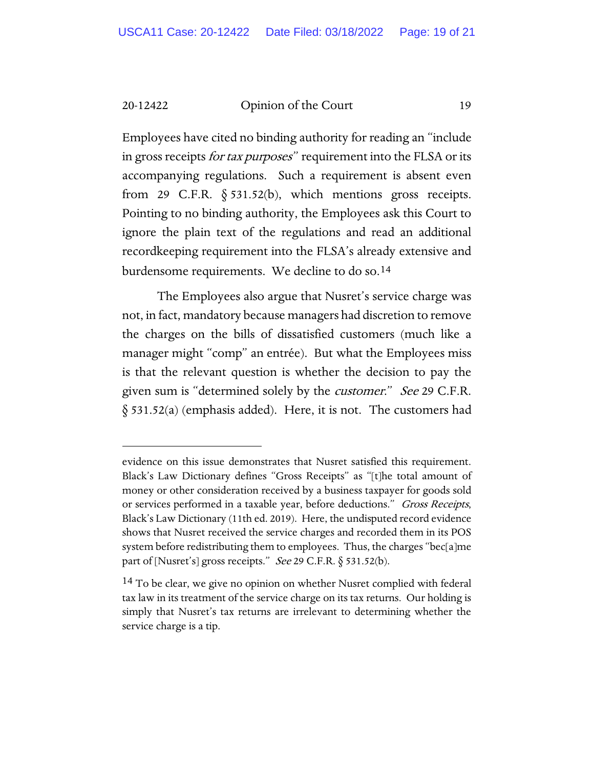20-12422 Opinion of the Court 19

Employees have cited no binding authority for reading an "include in gross receipts *for tax purposes*" requirement into the FLSA or its accompanying regulations. Such a requirement is absent even from 29 C.F.R.  $\S$  531.52(b), which mentions gross receipts. Pointing to no binding authority, the Employees ask this Court to ignore the plain text of the regulations and read an additional recordkeeping requirement into the FLSA's already extensive and burdensome requirements. We decline to do so.[14](#page-54-0)

The Employees also argue that Nusret's service charge was not, in fact, mandatory because managers had discretion to remove the charges on the bills of dissatisfied customers (much like a manager might "comp" an entrée). But what the Employees miss is that the relevant question is whether the decision to pay the given sum is "determined solely by the *customer." See* 29 C.F.R. § 531.52(a) (emphasis added). Here, it is not. The customers had

evidence on this issue demonstrates that Nusret satisfied this requirement. Black's Law Dictionary defines "Gross Receipts" as "[t]he total amount of money or other consideration received by a business taxpayer for goods sold or services performed in a taxable year, before deductions." *Gross Receipts*, Black's Law Dictionary (11th ed. 2019). Here, the undisputed record evidence shows that Nusret received the service charges and recorded them in its POS system before redistributing them to employees. Thus, the charges "bec[a]me part of [Nusret's] gross receipts." See 29 C.F.R.  $\S$  531.52(b).

<span id="page-54-0"></span><sup>&</sup>lt;sup>14</sup> To be clear, we give no opinion on whether Nusret complied with federal tax law in its treatment of the service charge on its tax returns. Our holding is simply that Nusret's tax returns are irrelevant to determining whether the service charge is a tip.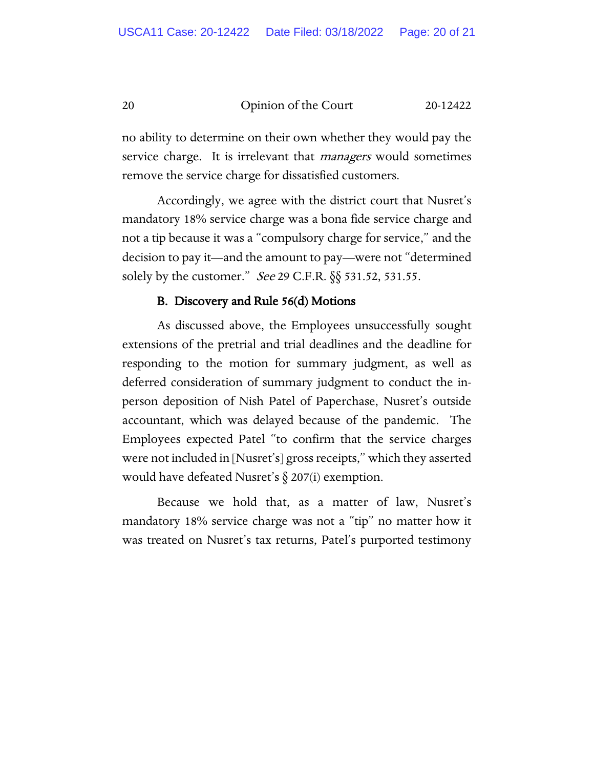20 Opinion of the Court 20-12422

no ability to determine on their own whether they would pay the service charge. It is irrelevant that *managers* would sometimes remove the service charge for dissatisfied customers.

Accordingly, we agree with the district court that Nusret's mandatory 18% service charge was a bona fide service charge and not a tip because it was a "compulsory charge for service," and the decision to pay it—and the amount to pay—were not "determined solely by the customer." See 29 C.F.R. §§ 531.52, 531.55.

#### B. Discovery and Rule 56(d) Motions

As discussed above, the Employees unsuccessfully sought extensions of the pretrial and trial deadlines and the deadline for responding to the motion for summary judgment, as well as deferred consideration of summary judgment to conduct the inperson deposition of Nish Patel of Paperchase, Nusret's outside accountant, which was delayed because of the pandemic. The Employees expected Patel "to confirm that the service charges were not included in [Nusret's] gross receipts," which they asserted would have defeated Nusret's § 207(i) exemption.

Because we hold that, as a matter of law, Nusret's mandatory 18% service charge was not a "tip" no matter how it was treated on Nusret's tax returns, Patel's purported testimony